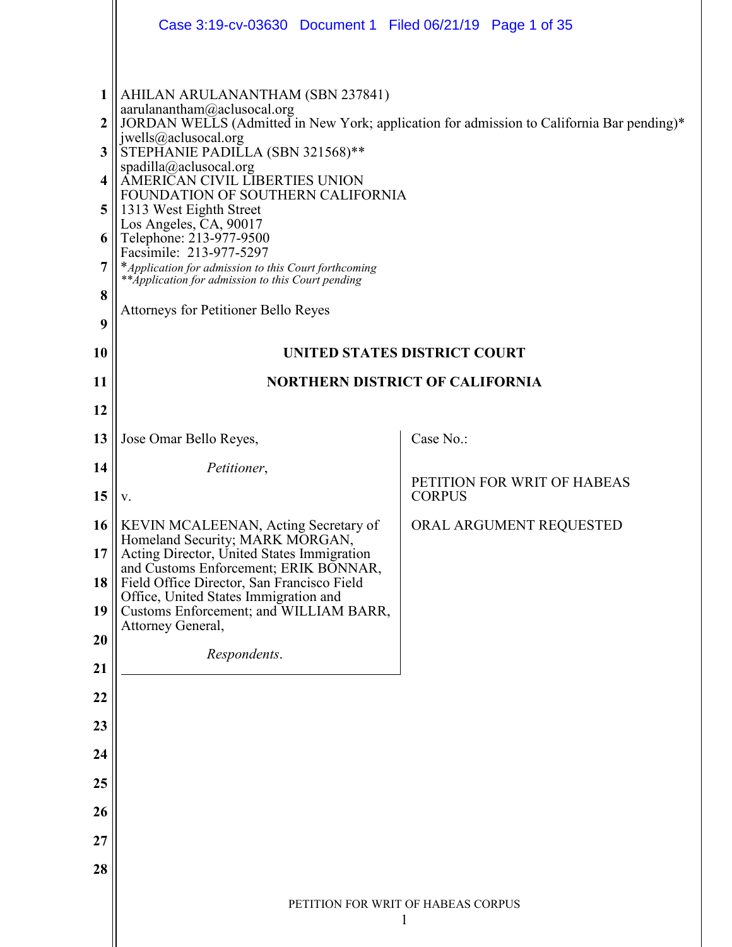|                                           | Case 3:19-cv-03630 Document 1 Filed 06/21/19 Page 1 of 35                                                                                                                                                                                                                                                                                                                                                                                                                                           |                                                                                           |
|-------------------------------------------|-----------------------------------------------------------------------------------------------------------------------------------------------------------------------------------------------------------------------------------------------------------------------------------------------------------------------------------------------------------------------------------------------------------------------------------------------------------------------------------------------------|-------------------------------------------------------------------------------------------|
| 1<br>2<br>3<br>4<br>5<br>6<br>7<br>8<br>9 | AHILAN ARULANANTHAM (SBN 237841)<br>aarulanantham@aclusocal.org<br>jwells@aclusocal.org<br>STEPHANIE PADILLA (SBN 321568)**<br>spadilla@aclusocal.org<br>AMERICAN CIVIL LIBERTIES UNION<br>FOUNDATION OF SOUTHERN CALIFORNIA<br>1313 West Eighth Street<br>Los Angeles, CA, 90017<br>Telephone: 213-977-9500<br>Facsimile: 213-977-5297<br>*Application for admission to this Court forthcoming<br>**Application for admission to this Court pending<br><b>Attorneys for Petitioner Bello Reyes</b> | JORDAN WELLS (Admitted in New York; application for admission to California Bar pending)* |
| 10                                        |                                                                                                                                                                                                                                                                                                                                                                                                                                                                                                     | <b>UNITED STATES DISTRICT COURT</b>                                                       |
| 11                                        | <b>NORTHERN DISTRICT OF CALIFORNIA</b>                                                                                                                                                                                                                                                                                                                                                                                                                                                              |                                                                                           |
| 12                                        |                                                                                                                                                                                                                                                                                                                                                                                                                                                                                                     |                                                                                           |
| 13                                        | Jose Omar Bello Reyes,                                                                                                                                                                                                                                                                                                                                                                                                                                                                              | Case No.:                                                                                 |
| 14                                        | Petitioner,                                                                                                                                                                                                                                                                                                                                                                                                                                                                                         | PETITION FOR WRIT OF HABEAS                                                               |
| 15                                        | V.                                                                                                                                                                                                                                                                                                                                                                                                                                                                                                  | <b>CORPUS</b>                                                                             |
| 16<br>17                                  | KEVIN MCALEENAN, Acting Secretary of<br>Homeland Security; MARK MORGAN,                                                                                                                                                                                                                                                                                                                                                                                                                             | ORAL ARGUMENT REQUESTED                                                                   |
| 18                                        | Acting Director, United States Immigration<br>and Customs Enforcement; ERIK BONNAR,<br>Field Office Director, San Francisco Field                                                                                                                                                                                                                                                                                                                                                                   |                                                                                           |
| 19                                        | Office, United States Immigration and<br>Customs Enforcement; and WILLIAM BARR,                                                                                                                                                                                                                                                                                                                                                                                                                     |                                                                                           |
| 20                                        | Attorney General,                                                                                                                                                                                                                                                                                                                                                                                                                                                                                   |                                                                                           |
| 21                                        | Respondents.                                                                                                                                                                                                                                                                                                                                                                                                                                                                                        |                                                                                           |
| 22                                        |                                                                                                                                                                                                                                                                                                                                                                                                                                                                                                     |                                                                                           |
| 23                                        |                                                                                                                                                                                                                                                                                                                                                                                                                                                                                                     |                                                                                           |
| 24                                        |                                                                                                                                                                                                                                                                                                                                                                                                                                                                                                     |                                                                                           |
| 25                                        |                                                                                                                                                                                                                                                                                                                                                                                                                                                                                                     |                                                                                           |
| 26                                        |                                                                                                                                                                                                                                                                                                                                                                                                                                                                                                     |                                                                                           |
| 27                                        |                                                                                                                                                                                                                                                                                                                                                                                                                                                                                                     |                                                                                           |
| 28                                        |                                                                                                                                                                                                                                                                                                                                                                                                                                                                                                     |                                                                                           |
|                                           | PETITION FOR WRIT OF HABEAS CORPUS<br>1                                                                                                                                                                                                                                                                                                                                                                                                                                                             |                                                                                           |
|                                           |                                                                                                                                                                                                                                                                                                                                                                                                                                                                                                     |                                                                                           |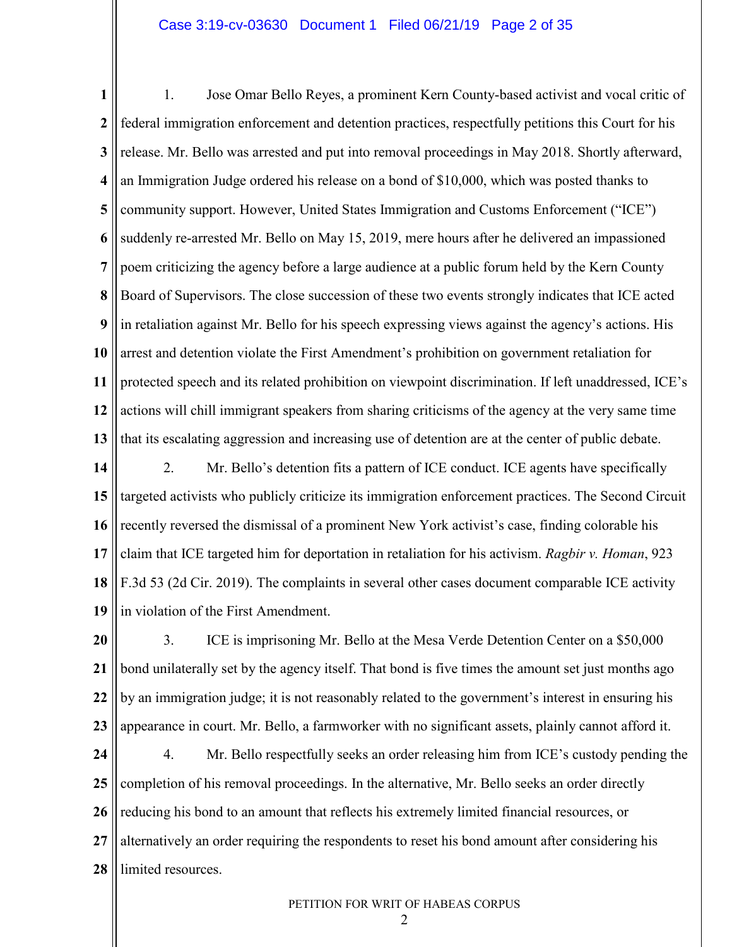#### Case 3:19-cv-03630 Document 1 Filed 06/21/19 Page 2 of 35

**1 2 3 4 5 6 7 8 9 10 11 12 13** 1. Jose Omar Bello Reyes, a prominent Kern County-based activist and vocal critic of federal immigration enforcement and detention practices, respectfully petitions this Court for his release. Mr. Bello was arrested and put into removal proceedings in May 2018. Shortly afterward, an Immigration Judge ordered his release on a bond of \$10,000, which was posted thanks to community support. However, United States Immigration and Customs Enforcement ("ICE") suddenly re-arrested Mr. Bello on May 15, 2019, mere hours after he delivered an impassioned poem criticizing the agency before a large audience at a public forum held by the Kern County Board of Supervisors. The close succession of these two events strongly indicates that ICE acted in retaliation against Mr. Bello for his speech expressing views against the agency's actions. His arrest and detention violate the First Amendment's prohibition on government retaliation for protected speech and its related prohibition on viewpoint discrimination. If left unaddressed, ICE's actions will chill immigrant speakers from sharing criticisms of the agency at the very same time that its escalating aggression and increasing use of detention are at the center of public debate.

**14 15 16 17 18 19** 2. Mr. Bello's detention fits a pattern of ICE conduct. ICE agents have specifically targeted activists who publicly criticize its immigration enforcement practices. The Second Circuit recently reversed the dismissal of a prominent New York activist's case, finding colorable his claim that ICE targeted him for deportation in retaliation for his activism. *Ragbir v. Homan*, 923 F.3d 53 (2d Cir. 2019). The complaints in several other cases document comparable ICE activity in violation of the First Amendment.

**20 21 22 23** 3. ICE is imprisoning Mr. Bello at the Mesa Verde Detention Center on a \$50,000 bond unilaterally set by the agency itself. That bond is five times the amount set just months ago by an immigration judge; it is not reasonably related to the government's interest in ensuring his appearance in court. Mr. Bello, a farmworker with no significant assets, plainly cannot afford it.

**24 25 26 27 28** 4. Mr. Bello respectfully seeks an order releasing him from ICE's custody pending the completion of his removal proceedings. In the alternative, Mr. Bello seeks an order directly reducing his bond to an amount that reflects his extremely limited financial resources, or alternatively an order requiring the respondents to reset his bond amount after considering his limited resources.

#### PETITION FOR WRIT OF HABEAS CORPUS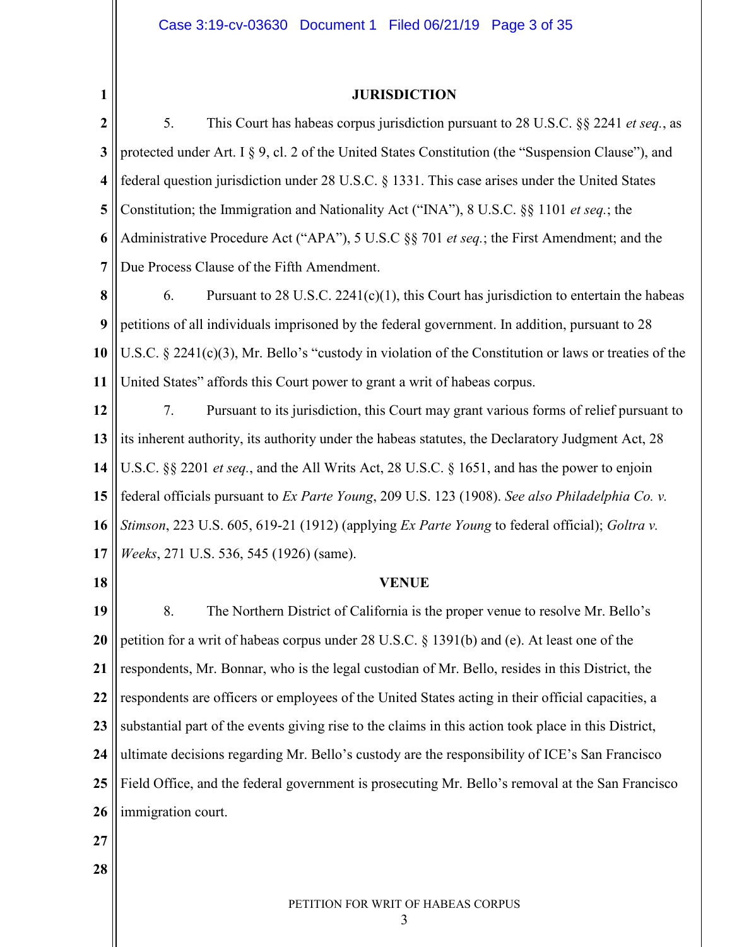#### **1 2 3 4 5 6 7 8 9 10 11 12 13 14 15 16 17 18 19 20 21 22 23 24 25 26 27 28 JURISDICTION** 5. This Court has habeas corpus jurisdiction pursuant to 28 U.S.C. §§ 2241 *et seq.*, as protected under Art. I § 9, cl. 2 of the United States Constitution (the "Suspension Clause"), and federal question jurisdiction under 28 U.S.C. § 1331. This case arises under the United States Constitution; the Immigration and Nationality Act ("INA"), 8 U.S.C. §§ 1101 *et seq.*; the Administrative Procedure Act ("APA"), 5 U.S.C §§ 701 *et seq.*; the First Amendment; and the Due Process Clause of the Fifth Amendment. 6. Pursuant to 28 U.S.C.  $2241(c)(1)$ , this Court has jurisdiction to entertain the habeas petitions of all individuals imprisoned by the federal government. In addition, pursuant to 28 U.S.C. § 2241(c)(3), Mr. Bello's "custody in violation of the Constitution or laws or treaties of the United States" affords this Court power to grant a writ of habeas corpus. 7. Pursuant to its jurisdiction, this Court may grant various forms of relief pursuant to its inherent authority, its authority under the habeas statutes, the Declaratory Judgment Act, 28 U.S.C. §§ 2201 *et seq.*, and the All Writs Act, 28 U.S.C. § 1651, and has the power to enjoin federal officials pursuant to *Ex Parte Young*, 209 U.S. 123 (1908). *See also Philadelphia Co. v. Stimson*, 223 U.S. 605, 619-21 (1912) (applying *Ex Parte Young* to federal official); *Goltra v. Weeks*, 271 U.S. 536, 545 (1926) (same). **VENUE** 8. The Northern District of California is the proper venue to resolve Mr. Bello's petition for a writ of habeas corpus under 28 U.S.C. § 1391(b) and (e). At least one of the respondents, Mr. Bonnar, who is the legal custodian of Mr. Bello, resides in this District, the respondents are officers or employees of the United States acting in their official capacities, a substantial part of the events giving rise to the claims in this action took place in this District, ultimate decisions regarding Mr. Bello's custody are the responsibility of ICE's San Francisco Field Office, and the federal government is prosecuting Mr. Bello's removal at the San Francisco immigration court.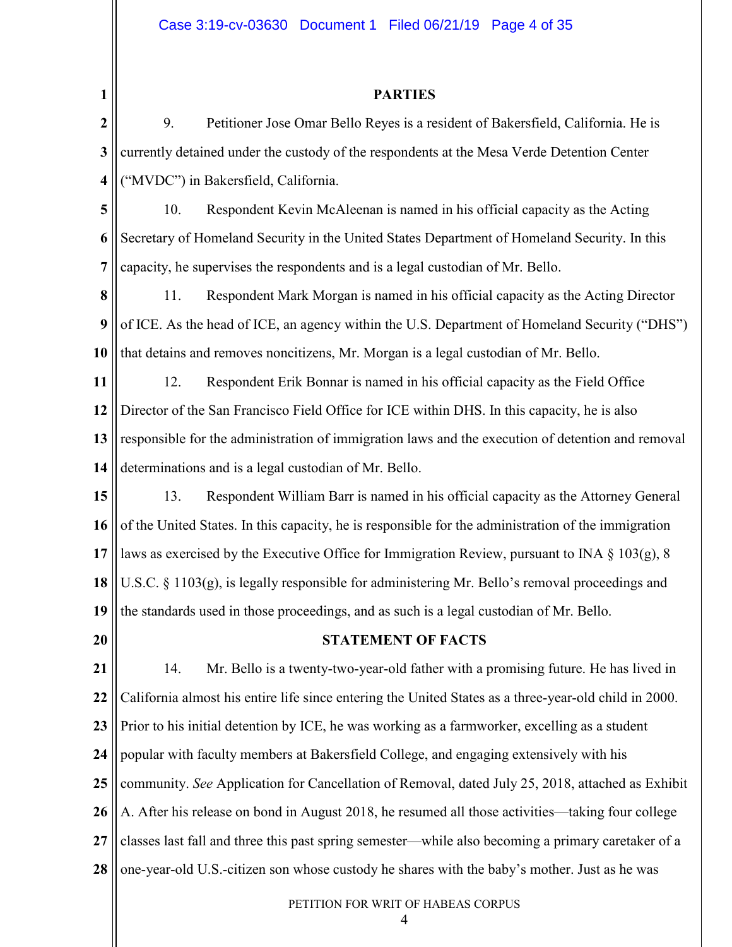**PARTIES** 9. Petitioner Jose Omar Bello Reyes is a resident of Bakersfield, California. He is currently detained under the custody of the respondents at the Mesa Verde Detention Center ("MVDC") in Bakersfield, California. 10. Respondent Kevin McAleenan is named in his official capacity as the Acting Secretary of Homeland Security in the United States Department of Homeland Security. In this capacity, he supervises the respondents and is a legal custodian of Mr. Bello. 11. Respondent Mark Morgan is named in his official capacity as the Acting Director of ICE. As the head of ICE, an agency within the U.S. Department of Homeland Security ("DHS") that detains and removes noncitizens, Mr. Morgan is a legal custodian of Mr. Bello. 12. Respondent Erik Bonnar is named in his official capacity as the Field Office Director of the San Francisco Field Office for ICE within DHS. In this capacity, he is also responsible for the administration of immigration laws and the execution of detention and removal

**14** determinations and is a legal custodian of Mr. Bello.

**15 16 17 18 19** 13. Respondent William Barr is named in his official capacity as the Attorney General of the United States. In this capacity, he is responsible for the administration of the immigration laws as exercised by the Executive Office for Immigration Review, pursuant to INA  $\S$  103(g), 8 U.S.C. § 1103(g), is legally responsible for administering Mr. Bello's removal proceedings and the standards used in those proceedings, and as such is a legal custodian of Mr. Bello.

**20**

**1**

**2**

**3**

**4**

**5**

**6**

**7**

**8**

**9**

**10**

**11**

**12**

**13**

#### **STATEMENT OF FACTS**

**21 22 23 24 25 26 27 28** 14. Mr. Bello is a twenty-two-year-old father with a promising future. He has lived in California almost his entire life since entering the United States as a three-year-old child in 2000. Prior to his initial detention by ICE, he was working as a farmworker, excelling as a student popular with faculty members at Bakersfield College, and engaging extensively with his community. *See* Application for Cancellation of Removal, dated July 25, 2018, attached as Exhibit A. After his release on bond in August 2018, he resumed all those activities—taking four college classes last fall and three this past spring semester—while also becoming a primary caretaker of a one-year-old U.S.-citizen son whose custody he shares with the baby's mother. Just as he was

PETITION FOR WRIT OF HABEAS CORPUS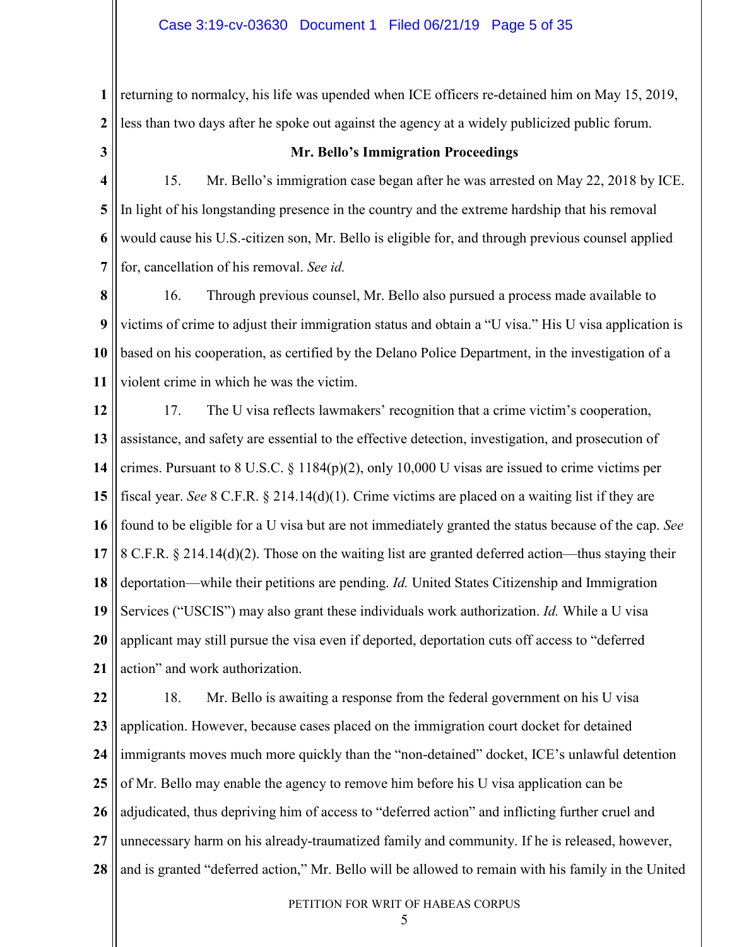**1 2** returning to normalcy, his life was upended when ICE officers re-detained him on May 15, 2019, less than two days after he spoke out against the agency at a widely publicized public forum.

**3**

#### **Mr. Bello's Immigration Proceedings**

**4 5 6 7** 15. Mr. Bello's immigration case began after he was arrested on May 22, 2018 by ICE. In light of his longstanding presence in the country and the extreme hardship that his removal would cause his U.S.-citizen son, Mr. Bello is eligible for, and through previous counsel applied for, cancellation of his removal. *See id.* 

**8 9 10 11** 16. Through previous counsel, Mr. Bello also pursued a process made available to victims of crime to adjust their immigration status and obtain a "U visa." His U visa application is based on his cooperation, as certified by the Delano Police Department, in the investigation of a violent crime in which he was the victim.

**12 13 14 15 16 17 18 19 20 21** 17. The U visa reflects lawmakers' recognition that a crime victim's cooperation, assistance, and safety are essential to the effective detection, investigation, and prosecution of crimes. Pursuant to 8 U.S.C. § 1184(p)(2), only 10,000 U visas are issued to crime victims per fiscal year. *See* 8 C.F.R. § 214.14(d)(1). Crime victims are placed on a waiting list if they are found to be eligible for a U visa but are not immediately granted the status because of the cap. *See* 8 C.F.R. § 214.14(d)(2). Those on the waiting list are granted deferred action—thus staying their deportation—while their petitions are pending. *Id.* United States Citizenship and Immigration Services ("USCIS") may also grant these individuals work authorization. *Id.* While a U visa applicant may still pursue the visa even if deported, deportation cuts off access to "deferred action" and work authorization.

**22 23 24 25 26 27 28** 18. Mr. Bello is awaiting a response from the federal government on his U visa application. However, because cases placed on the immigration court docket for detained immigrants moves much more quickly than the "non-detained" docket, ICE's unlawful detention of Mr. Bello may enable the agency to remove him before his U visa application can be adjudicated, thus depriving him of access to "deferred action" and inflicting further cruel and unnecessary harm on his already-traumatized family and community. If he is released, however, and is granted "deferred action," Mr. Bello will be allowed to remain with his family in the United

PETITION FOR WRIT OF HABEAS CORPUS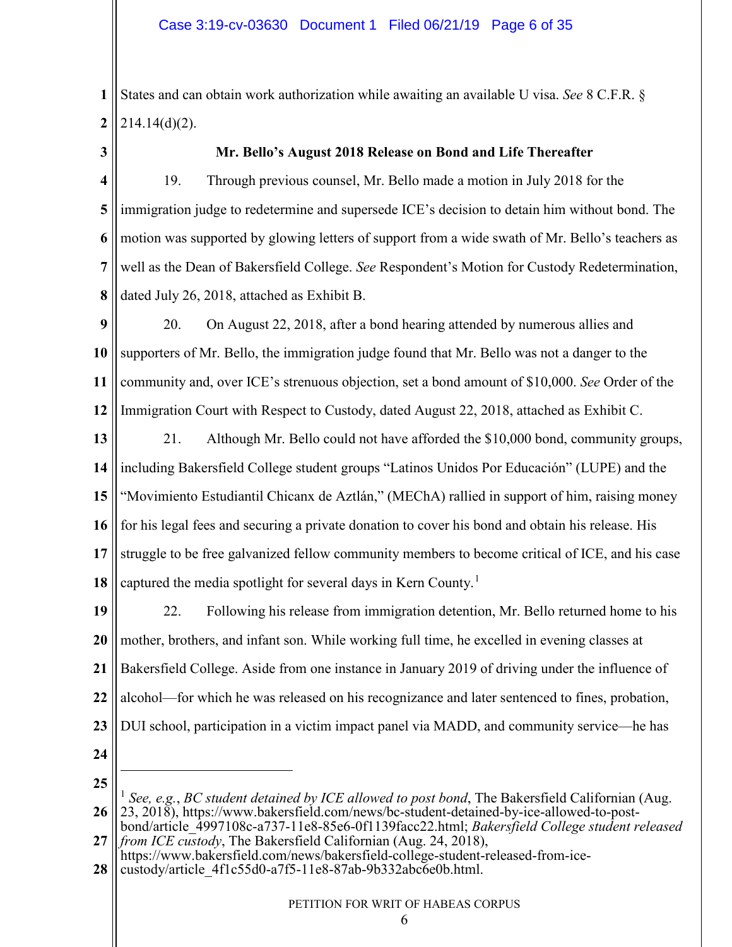**1 2** States and can obtain work authorization while awaiting an available U visa. *See* 8 C.F.R. §  $214.14(d)(2)$ .

**3**

## **Mr. Bello's August 2018 Release on Bond and Life Thereafter**

**4 5 6 7 8** 19. Through previous counsel, Mr. Bello made a motion in July 2018 for the immigration judge to redetermine and supersede ICE's decision to detain him without bond. The motion was supported by glowing letters of support from a wide swath of Mr. Bello's teachers as well as the Dean of Bakersfield College. *See* Respondent's Motion for Custody Redetermination, dated July 26, 2018, attached as Exhibit B.

- **9 10 11 12** 20. On August 22, 2018, after a bond hearing attended by numerous allies and supporters of Mr. Bello, the immigration judge found that Mr. Bello was not a danger to the community and, over ICE's strenuous objection, set a bond amount of \$10,000. *See* Order of the Immigration Court with Respect to Custody, dated August 22, 2018, attached as Exhibit C.
- **13 14 15 16 17 18** 21. Although Mr. Bello could not have afforded the \$10,000 bond, community groups, including Bakersfield College student groups "Latinos Unidos Por Educación" (LUPE) and the "Movimiento Estudiantil Chicanx de Aztlán," (MEChA) rallied in support of him, raising money for his legal fees and securing a private donation to cover his bond and obtain his release. His struggle to be free galvanized fellow community members to become critical of ICE, and his case captured the media spotlight for several days in Kern County.<sup>[1](#page-5-0)</sup>
- **19 20 21 22 23 24** 22. Following his release from immigration detention, Mr. Bello returned home to his mother, brothers, and infant son. While working full time, he excelled in evening classes at Bakersfield College. Aside from one instance in January 2019 of driving under the influence of alcohol—for which he was released on his recognizance and later sentenced to fines, probation, DUI school, participation in a victim impact panel via MADD, and community service—he has
- **25**

 $\overline{a}$ 

<span id="page-5-0"></span>**<sup>26</sup>** <sup>1</sup> *See, e.g.*, *BC student detained by ICE allowed to post bond*, The Bakersfield Californian (Aug. 23, 2018), https://www.bakersfield.com/news/bc-student-detained-by-ice-allowed-to-post-

**<sup>27</sup>** bond/article\_4997108c-a737-11e8-85e6-0f1139facc22.html; *Bakersfield College student released from ICE custody*, The Bakersfield Californian (Aug. 24, 2018),

**<sup>28</sup>** https://www.bakersfield.com/news/bakersfield-college-student-released-from-icecustody/article\_4f1c55d0-a7f5-11e8-87ab-9b332abc6e0b.html.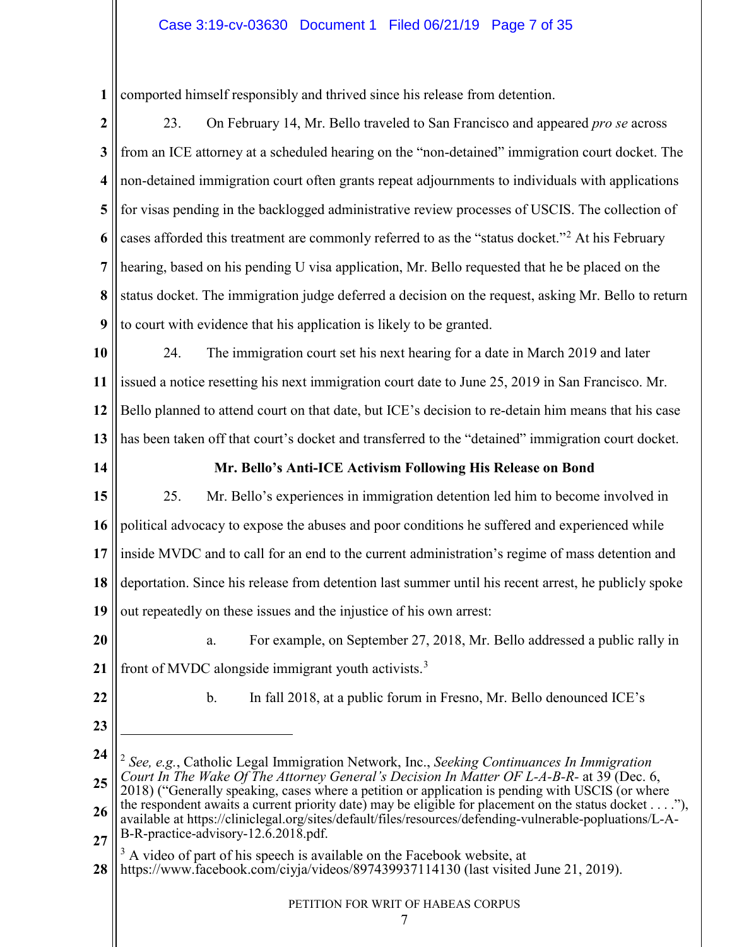**1** comported himself responsibly and thrived since his release from detention.

**2 3 4 5 6 7 8 9** 23. On February 14, Mr. Bello traveled to San Francisco and appeared *pro se* across from an ICE attorney at a scheduled hearing on the "non-detained" immigration court docket. The non-detained immigration court often grants repeat adjournments to individuals with applications for visas pending in the backlogged administrative review processes of USCIS. The collection of cases afforded this treatment are commonly referred to as the "status docket."[2](#page-6-0) At his February hearing, based on his pending U visa application, Mr. Bello requested that he be placed on the status docket. The immigration judge deferred a decision on the request, asking Mr. Bello to return to court with evidence that his application is likely to be granted.

**10 11 12 13** 24. The immigration court set his next hearing for a date in March 2019 and later issued a notice resetting his next immigration court date to June 25, 2019 in San Francisco. Mr. Bello planned to attend court on that date, but ICE's decision to re-detain him means that his case has been taken off that court's docket and transferred to the "detained" immigration court docket.

**14**

## **Mr. Bello's Anti-ICE Activism Following His Release on Bond**

**15 16 17 18 19** 25. Mr. Bello's experiences in immigration detention led him to become involved in political advocacy to expose the abuses and poor conditions he suffered and experienced while inside MVDC and to call for an end to the current administration's regime of mass detention and deportation. Since his release from detention last summer until his recent arrest, he publicly spoke out repeatedly on these issues and the injustice of his own arrest:

**20 21** a. For example, on September 27, 2018, Mr. Bello addressed a public rally in front of MVDC alongside immigrant youth activists.<sup>[3](#page-6-1)</sup>

b. In fall 2018, at a public forum in Fresno, Mr. Bello denounced ICE's

- **22**
- **23**

 $\overline{a}$ 

<span id="page-6-0"></span>**24 25 26** <sup>2</sup> *See, e.g.*, Catholic Legal Immigration Network, Inc., *Seeking Continuances In Immigration Court In The Wake Of The Attorney General's Decision In Matter OF L-A-B-R-* at 39 (Dec. 6, 2018) ("Generally speaking, cases where a petition or application is pending with USCIS (or where the respondent awaits a current priority date) may be eligible for placement on the status docket  $\dots$ "), available at https://cliniclegal.org/sites/default/files/resources/defending-vulnerable-popluations/L-A-

<span id="page-6-1"></span>**28**  $3<sup>3</sup>$  A video of part of his speech is available on the Facebook website, at https://www.facebook.com/ciyja/videos/897439937114130 (last visited June 21, 2019).

**<sup>27</sup>** B-R-practice-advisory-12.6.2018.pdf.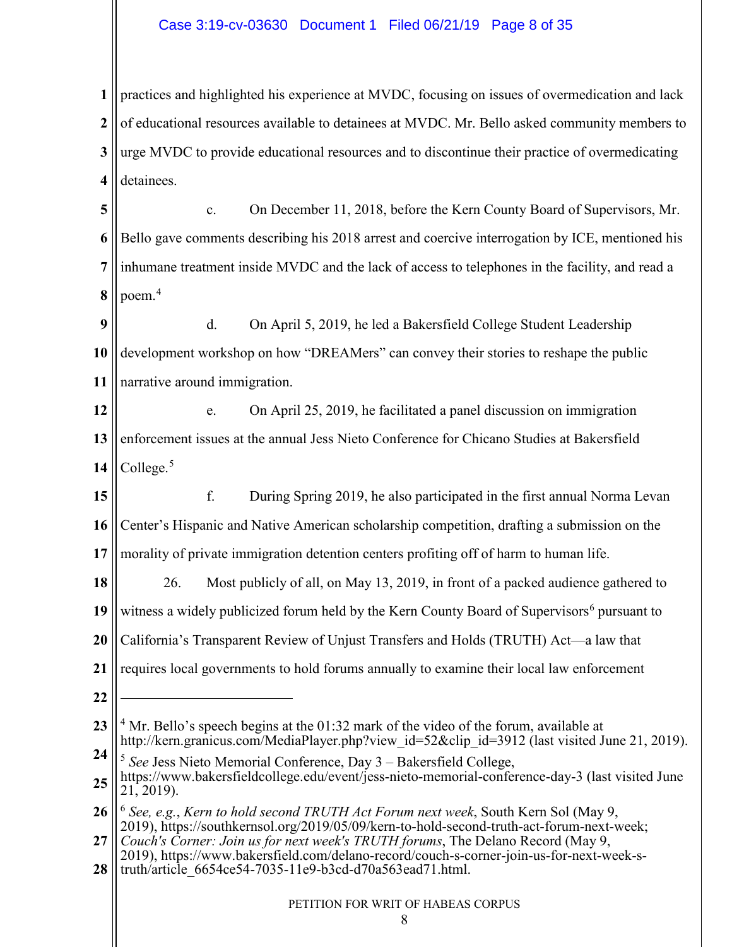**1 2 3 4** practices and highlighted his experience at MVDC, focusing on issues of overmedication and lack of educational resources available to detainees at MVDC. Mr. Bello asked community members to urge MVDC to provide educational resources and to discontinue their practice of overmedicating detainees.

**5 6 7 8** c. On December 11, 2018, before the Kern County Board of Supervisors, Mr. Bello gave comments describing his 2018 arrest and coercive interrogation by ICE, mentioned his inhumane treatment inside MVDC and the lack of access to telephones in the facility, and read a poem.[4](#page-7-0)

**9 10 11** d. On April 5, 2019, he led a Bakersfield College Student Leadership development workshop on how "DREAMers" can convey their stories to reshape the public narrative around immigration.

**12 13 14** e. On April 25, 2019, he facilitated a panel discussion on immigration enforcement issues at the annual Jess Nieto Conference for Chicano Studies at Bakersfield College.<sup>[5](#page-7-1)</sup>

**15 16 17** f. During Spring 2019, he also participated in the first annual Norma Levan Center's Hispanic and Native American scholarship competition, drafting a submission on the morality of private immigration detention centers profiting off of harm to human life.

**18** 26. Most publicly of all, on May 13, 2019, in front of a packed audience gathered to

**19** witness a widely publicized forum held by the Kern County Board of Supervisors<sup>[6](#page-7-2)</sup> pursuant to

**20** California's Transparent Review of Unjust Transfers and Holds (TRUTH) Act—a law that

- **21** requires local governments to hold forums annually to examine their local law enforcement
- **22**

 $\overline{a}$ 

<span id="page-7-1"></span>**24** <sup>5</sup> *See* Jess Nieto Memorial Conference, Day 3 – Bakersfield College,

**28** truth/article\_6654ce54-7035-11e9-b3cd-d70a563ead71.html.

<span id="page-7-0"></span>**<sup>23</sup>** <sup>4</sup> Mr. Bello's speech begins at the 01:32 mark of the video of the forum, available at http://kern.granicus.com/MediaPlayer.php?view\_id=52&clip\_id=3912 (last visited June 21, 2019).

**<sup>25</sup>** https://www.bakersfieldcollege.edu/event/jess-nieto-memorial-conference-day-3 (last visited June 21, 2019).

<span id="page-7-2"></span>**<sup>26</sup>** <sup>6</sup> *See, e.g.*, *Kern to hold second TRUTH Act Forum next week*, South Kern Sol (May 9, 2019), https://southkernsol.org/2019/05/09/kern-to-hold-second-truth-act-forum-next-week;

**<sup>27</sup>** *Couch's Corner: Join us for next week's TRUTH forums*, The Delano Record (May 9, 2019), https://www.bakersfield.com/delano-record/couch-s-corner-join-us-for-next-week-s-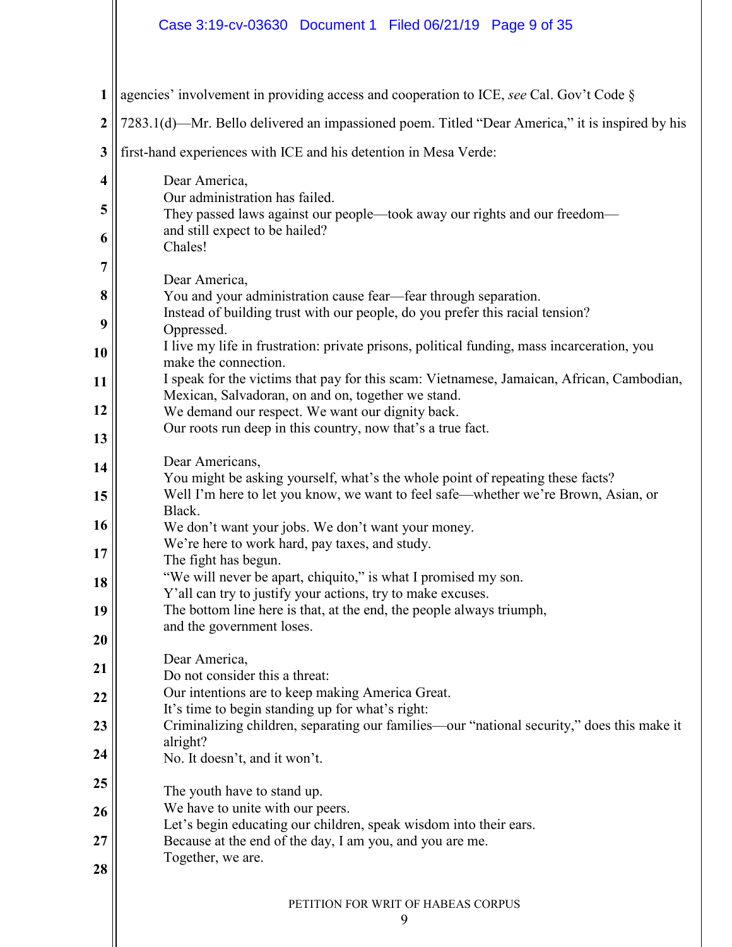# Case 3:19-cv-03630 Document 1 Filed 06/21/19 Page 9 of 35

| 1                       | agencies' involvement in providing access and cooperation to ICE, see Cal. Gov't Code §                                                                              |  |  |
|-------------------------|----------------------------------------------------------------------------------------------------------------------------------------------------------------------|--|--|
| $\boldsymbol{2}$        | 7283.1(d)—Mr. Bello delivered an impassioned poem. Titled "Dear America," it is inspired by his                                                                      |  |  |
| 3                       | first-hand experiences with ICE and his detention in Mesa Verde:                                                                                                     |  |  |
| $\overline{\mathbf{4}}$ | Dear America,                                                                                                                                                        |  |  |
| 5                       | Our administration has failed.<br>They passed laws against our people—took away our rights and our freedom—                                                          |  |  |
| 6                       | and still expect to be hailed?                                                                                                                                       |  |  |
| 7                       | Chales!                                                                                                                                                              |  |  |
| 8                       | Dear America,<br>You and your administration cause fear—fear through separation.                                                                                     |  |  |
|                         | Instead of building trust with our people, do you prefer this racial tension?                                                                                        |  |  |
| 9                       | Oppressed.<br>I live my life in frustration: private prisons, political funding, mass incarceration, you                                                             |  |  |
| 10                      | make the connection.                                                                                                                                                 |  |  |
| 11                      | I speak for the victims that pay for this scam: Vietnamese, Jamaican, African, Cambodian,<br>Mexican, Salvadoran, on and on, together we stand.                      |  |  |
| 12                      | We demand our respect. We want our dignity back.                                                                                                                     |  |  |
| 13                      | Our roots run deep in this country, now that's a true fact.                                                                                                          |  |  |
| 14                      | Dear Americans,                                                                                                                                                      |  |  |
| 15                      | You might be asking yourself, what's the whole point of repeating these facts?<br>Well I'm here to let you know, we want to feel safe—whether we're Brown, Asian, or |  |  |
| 16                      | Black.                                                                                                                                                               |  |  |
|                         | We don't want your jobs. We don't want your money.<br>We're here to work hard, pay taxes, and study.                                                                 |  |  |
| 17                      | The fight has begun.                                                                                                                                                 |  |  |
| 18                      | "We will never be apart, chiquito," is what I promised my son.<br>Y' all can try to justify your actions, try to make excuses.                                       |  |  |
| 19                      | The bottom line here is that, at the end, the people always triumph,<br>and the government loses.                                                                    |  |  |
| 20                      |                                                                                                                                                                      |  |  |
| 21                      | Dear America,<br>Do not consider this a threat:                                                                                                                      |  |  |
| 22                      | Our intentions are to keep making America Great.                                                                                                                     |  |  |
| 23                      | It's time to begin standing up for what's right:<br>Criminalizing children, separating our families-our "national security," does this make it                       |  |  |
|                         | alright?                                                                                                                                                             |  |  |
| 24                      | No. It doesn't, and it won't.                                                                                                                                        |  |  |
| 25                      | The youth have to stand up.                                                                                                                                          |  |  |
| 26                      | We have to unite with our peers.<br>Let's begin educating our children, speak wisdom into their ears.                                                                |  |  |
| 27                      | Because at the end of the day, I am you, and you are me.                                                                                                             |  |  |
| 28                      | Together, we are.                                                                                                                                                    |  |  |
|                         | PETITION FOR WRIT OF HABEAS CORPUS                                                                                                                                   |  |  |
|                         | 9                                                                                                                                                                    |  |  |
|                         |                                                                                                                                                                      |  |  |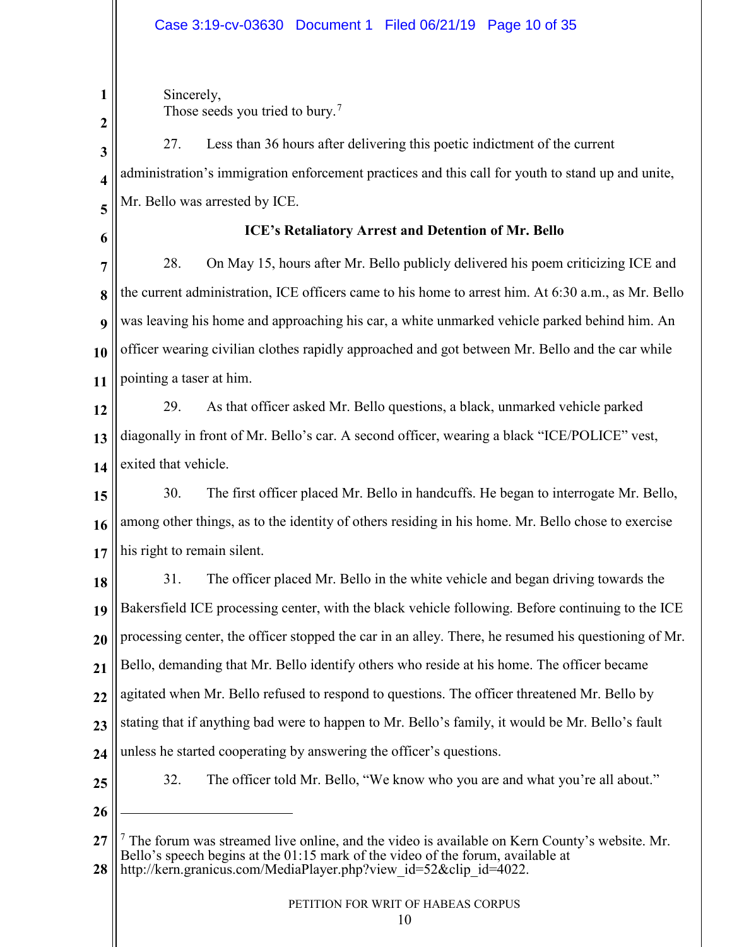Sincerely, Those seeds you tried to bury.<sup>[7](#page-9-0)</sup>

**3 4 5** 27. Less than 36 hours after delivering this poetic indictment of the current administration's immigration enforcement practices and this call for youth to stand up and unite, Mr. Bello was arrested by ICE.

**6**

**1**

**2**

## **ICE's Retaliatory Arrest and Detention of Mr. Bello**

**7 8 9 10 11** 28. On May 15, hours after Mr. Bello publicly delivered his poem criticizing ICE and the current administration, ICE officers came to his home to arrest him. At 6:30 a.m., as Mr. Bello was leaving his home and approaching his car, a white unmarked vehicle parked behind him. An officer wearing civilian clothes rapidly approached and got between Mr. Bello and the car while pointing a taser at him.

**12 13 14** 29. As that officer asked Mr. Bello questions, a black, unmarked vehicle parked diagonally in front of Mr. Bello's car. A second officer, wearing a black "ICE/POLICE" vest, exited that vehicle.

**15 16 17** 30. The first officer placed Mr. Bello in handcuffs. He began to interrogate Mr. Bello, among other things, as to the identity of others residing in his home. Mr. Bello chose to exercise his right to remain silent.

**18 19 20 21 22 23 24** 31. The officer placed Mr. Bello in the white vehicle and began driving towards the Bakersfield ICE processing center, with the black vehicle following. Before continuing to the ICE processing center, the officer stopped the car in an alley. There, he resumed his questioning of Mr. Bello, demanding that Mr. Bello identify others who reside at his home. The officer became agitated when Mr. Bello refused to respond to questions. The officer threatened Mr. Bello by stating that if anything bad were to happen to Mr. Bello's family, it would be Mr. Bello's fault unless he started cooperating by answering the officer's questions.

**25**

32. The officer told Mr. Bello, "We know who you are and what you're all about."

**26**

 $\overline{a}$ 

<span id="page-9-0"></span>**<sup>27</sup> 28**  $<sup>7</sup>$  The forum was streamed live online, and the video is available on Kern County's website. Mr.</sup> Bello's speech begins at the 01:15 mark of the video of the forum, available at http://kern.granicus.com/MediaPlayer.php?view\_id=52&clip\_id=4022.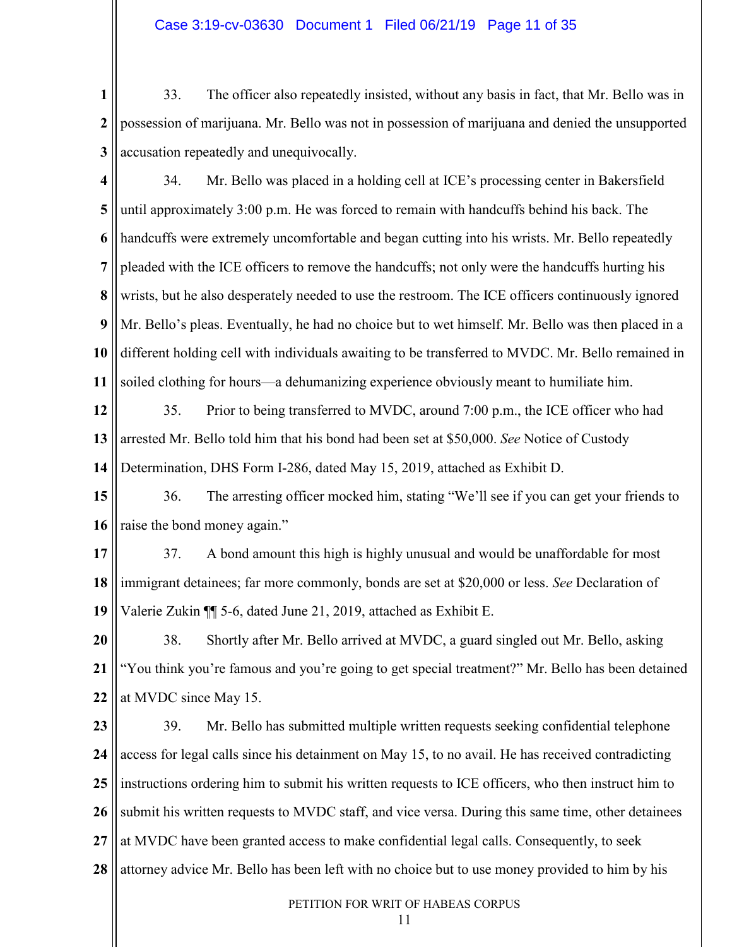#### Case 3:19-cv-03630 Document 1 Filed 06/21/19 Page 11 of 35

**1 2 3** 33. The officer also repeatedly insisted, without any basis in fact, that Mr. Bello was in possession of marijuana. Mr. Bello was not in possession of marijuana and denied the unsupported accusation repeatedly and unequivocally.

**4 5 6 7 8 9 10 11** 34. Mr. Bello was placed in a holding cell at ICE's processing center in Bakersfield until approximately 3:00 p.m. He was forced to remain with handcuffs behind his back. The handcuffs were extremely uncomfortable and began cutting into his wrists. Mr. Bello repeatedly pleaded with the ICE officers to remove the handcuffs; not only were the handcuffs hurting his wrists, but he also desperately needed to use the restroom. The ICE officers continuously ignored Mr. Bello's pleas. Eventually, he had no choice but to wet himself. Mr. Bello was then placed in a different holding cell with individuals awaiting to be transferred to MVDC. Mr. Bello remained in soiled clothing for hours—a dehumanizing experience obviously meant to humiliate him.

**12 13 14** 35. Prior to being transferred to MVDC, around 7:00 p.m., the ICE officer who had arrested Mr. Bello told him that his bond had been set at \$50,000. *See* Notice of Custody Determination, DHS Form I-286, dated May 15, 2019, attached as Exhibit D.

**15 16** 36. The arresting officer mocked him, stating "We'll see if you can get your friends to raise the bond money again."

**17 18 19** 37. A bond amount this high is highly unusual and would be unaffordable for most immigrant detainees; far more commonly, bonds are set at \$20,000 or less. *See* Declaration of Valerie Zukin ¶¶ 5-6, dated June 21, 2019, attached as Exhibit E.

**20 21 22** 38. Shortly after Mr. Bello arrived at MVDC, a guard singled out Mr. Bello, asking "You think you're famous and you're going to get special treatment?" Mr. Bello has been detained at MVDC since May 15.

**23 24 25 26 27 28** 39. Mr. Bello has submitted multiple written requests seeking confidential telephone access for legal calls since his detainment on May 15, to no avail. He has received contradicting instructions ordering him to submit his written requests to ICE officers, who then instruct him to submit his written requests to MVDC staff, and vice versa. During this same time, other detainees at MVDC have been granted access to make confidential legal calls. Consequently, to seek attorney advice Mr. Bello has been left with no choice but to use money provided to him by his

PETITION FOR WRIT OF HABEAS CORPUS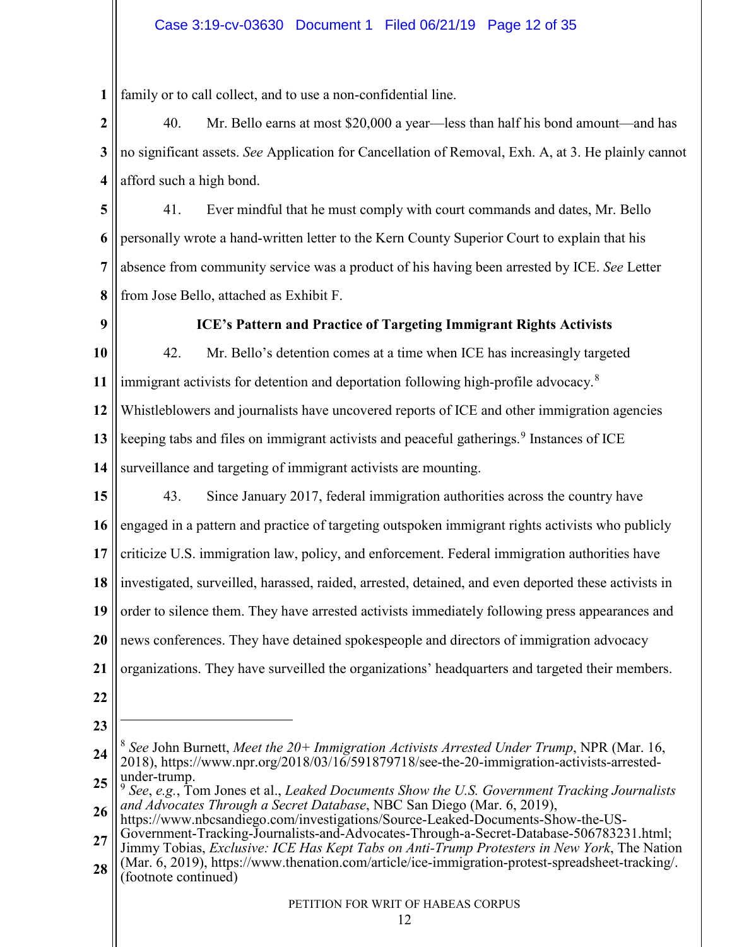**1** family or to call collect, and to use a non-confidential line.

**2 3 4** 40. Mr. Bello earns at most \$20,000 a year—less than half his bond amount—and has no significant assets. *See* Application for Cancellation of Removal, Exh. A, at 3. He plainly cannot afford such a high bond.

**5 6 7 8** 41. Ever mindful that he must comply with court commands and dates, Mr. Bello personally wrote a hand-written letter to the Kern County Superior Court to explain that his absence from community service was a product of his having been arrested by ICE. *See* Letter from Jose Bello, attached as Exhibit F.

**9**

#### **ICE's Pattern and Practice of Targeting Immigrant Rights Activists**

**10 11 12 13 14** 42. Mr. Bello's detention comes at a time when ICE has increasingly targeted immigrant activists for detention and deportation following high-profile advocacy.<sup>[8](#page-11-0)</sup> Whistleblowers and journalists have uncovered reports of ICE and other immigration agencies keeping tabs and files on immigrant activists and peaceful gatherings.<sup>[9](#page-11-1)</sup> Instances of ICE surveillance and targeting of immigrant activists are mounting.

**15 16** 43. Since January 2017, federal immigration authorities across the country have engaged in a pattern and practice of targeting outspoken immigrant rights activists who publicly

**17** criticize U.S. immigration law, policy, and enforcement. Federal immigration authorities have

**18** investigated, surveilled, harassed, raided, arrested, detained, and even deported these activists in

**19** order to silence them. They have arrested activists immediately following press appearances and

**20** news conferences. They have detained spokespeople and directors of immigration advocacy

**21** organizations. They have surveilled the organizations' headquarters and targeted their members.

- **22**
- **23**

 $\overline{a}$ 

<span id="page-11-0"></span>**<sup>24</sup> 25** <sup>8</sup> *See* John Burnett, *Meet the 20+ Immigration Activists Arrested Under Trump*, NPR (Mar. 16, 2018), https://www.npr.org/2018/03/16/591879718/see-the-20-immigration-activists-arrested-<br>under-trump.

<span id="page-11-1"></span>**<sup>26</sup>** <sup>9</sup> *See*, *e.g.*, Tom Jones et al., *Leaked Documents Show the U.S. Government Tracking Journalists and Advocates Through a Secret Database*, NBC San Diego (Mar. 6, 2019),

https://www.nbcsandiego.com/investigations/Source-Leaked-Documents-Show-the-US-

**<sup>27</sup>** Government-Tracking-Journalists-and-Advocates-Through-a-Secret-Database-506783231.html; Jimmy Tobias, *Exclusive: ICE Has Kept Tabs on Anti-Trump Protesters in New York*, The Nation

**<sup>28</sup>** (Mar. 6, 2019), https://www.thenation.com/article/ice-immigration-protest-spreadsheet-tracking/. (footnote continued)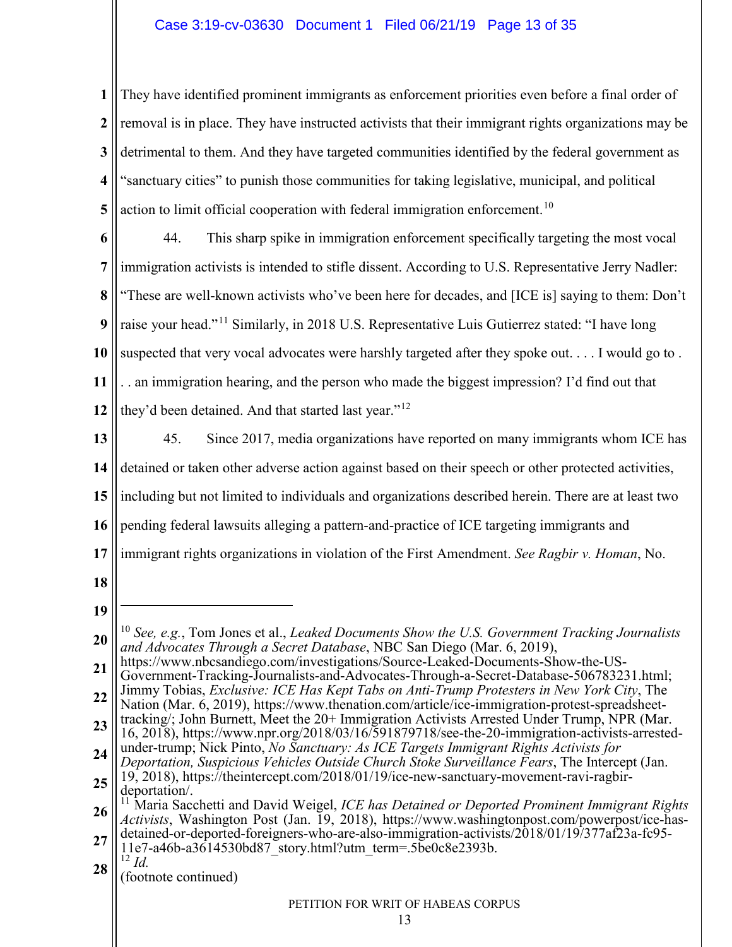#### Case 3:19-cv-03630 Document 1 Filed 06/21/19 Page 13 of 35

**1 2 3 4 5** They have identified prominent immigrants as enforcement priorities even before a final order of removal is in place. They have instructed activists that their immigrant rights organizations may be detrimental to them. And they have targeted communities identified by the federal government as "sanctuary cities" to punish those communities for taking legislative, municipal, and political action to limit official cooperation with federal immigration enforcement.<sup>[10](#page-12-0)</sup>

**6 7 8 9 10 11 12** 44. This sharp spike in immigration enforcement specifically targeting the most vocal immigration activists is intended to stifle dissent. According to U.S. Representative Jerry Nadler: "These are well-known activists who've been here for decades, and [ICE is] saying to them: Don't raise your head."[11](#page-12-1) Similarly, in 2018 U.S. Representative Luis Gutierrez stated: "I have long suspected that very vocal advocates were harshly targeted after they spoke out. . . . I would go to . . . an immigration hearing, and the person who made the biggest impression? I'd find out that they'd been detained. And that started last year."<sup>[12](#page-12-2)</sup>

**13 14 15 16 17 18** 45. Since 2017, media organizations have reported on many immigrants whom ICE has detained or taken other adverse action against based on their speech or other protected activities, including but not limited to individuals and organizations described herein. There are at least two pending federal lawsuits alleging a pattern-and-practice of ICE targeting immigrants and immigrant rights organizations in violation of the First Amendment. *See Ragbir v. Homan*, No.

**19**

 $\overline{a}$ 

#### PETITION FOR WRIT OF HABEAS CORPUS

<span id="page-12-0"></span>**<sup>20</sup>** <sup>10</sup> *See, e.g.*, Tom Jones et al., *Leaked Documents Show the U.S. Government Tracking Journalists and Advocates Through a Secret Database*, NBC San Diego (Mar. 6, 2019),

**<sup>21</sup>** https://www.nbcsandiego.com/investigations/Source-Leaked-Documents-Show-the-US-Government-Tracking-Journalists-and-Advocates-Through-a-Secret-Database-506783231.html;

**<sup>22</sup>** Jimmy Tobias, *Exclusive: ICE Has Kept Tabs on Anti-Trump Protesters in New York City*, The Nation (Mar. 6, 2019), https://www.thenation.com/article/ice-immigration-protest-spreadsheet-

**<sup>23</sup>** tracking/; John Burnett, Meet the 20+ Immigration Activists Arrested Under Trump, NPR (Mar. 16, 2018), https://www.npr.org/2018/03/16/591879718/see-the-20-immigration-activists-arrested-

**<sup>24</sup>** under-trump; Nick Pinto, *No Sanctuary: As ICE Targets Immigrant Rights Activists for Deportation, Suspicious Vehicles Outside Church Stoke Surveillance Fears*, The Intercept (Jan.

**<sup>25</sup>** 19, 2018), https://theintercept.com/2018/01/19/ice-new-sanctuary-movement-ravi-ragbirdeportation/.

<span id="page-12-1"></span>**<sup>26</sup>** <sup>11</sup> Maria Sacchetti and David Weigel, *ICE has Detained or Deported Prominent Immigrant Rights Activists*, Washington Post (Jan. 19, 2018), https://www.washingtonpost.com/powerpost/ice-has-

**<sup>27</sup>** detained-or-deported-foreigners-who-are-also-immigration-activists/2018/01/19/377af23a-fc95- 11e7-a46b-a3614530bd87\_story.html?utm\_term=.5be0c8e2393b. <sup>12</sup> *Id.*

<span id="page-12-2"></span>**<sup>28</sup>** (footnote continued)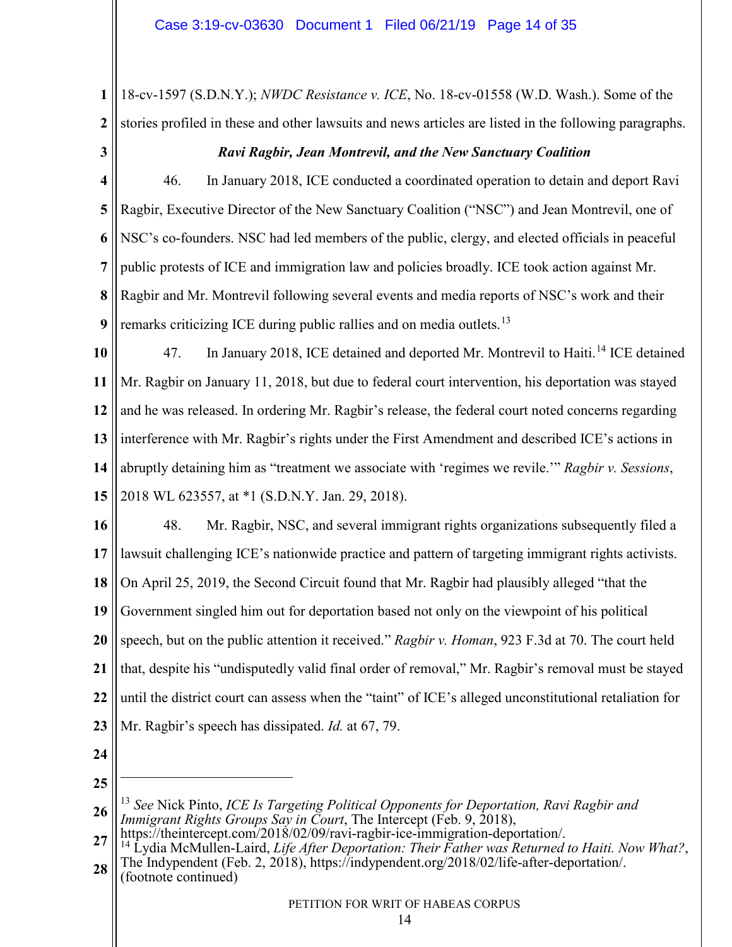**1 2** 18-cv-1597 (S.D.N.Y.); *NWDC Resistance v. ICE*, No. 18-cv-01558 (W.D. Wash.). Some of the stories profiled in these and other lawsuits and news articles are listed in the following paragraphs.

**3**

#### *Ravi Ragbir, Jean Montrevil, and the New Sanctuary Coalition*

**4 5 6 7 8 9** 46. In January 2018, ICE conducted a coordinated operation to detain and deport Ravi Ragbir, Executive Director of the New Sanctuary Coalition ("NSC") and Jean Montrevil, one of NSC's co-founders. NSC had led members of the public, clergy, and elected officials in peaceful public protests of ICE and immigration law and policies broadly. ICE took action against Mr. Ragbir and Mr. Montrevil following several events and media reports of NSC's work and their remarks criticizing ICE during public rallies and on media outlets.<sup>[13](#page-13-0)</sup>

**10 11 12 13 14 15** 47. In January 2018, ICE detained and deported Mr. Montrevil to Haiti.<sup>[14](#page-13-1)</sup> ICE detained Mr. Ragbir on January 11, 2018, but due to federal court intervention, his deportation was stayed and he was released. In ordering Mr. Ragbir's release, the federal court noted concerns regarding interference with Mr. Ragbir's rights under the First Amendment and described ICE's actions in abruptly detaining him as "treatment we associate with 'regimes we revile.'" *Ragbir v. Sessions*, 2018 WL 623557, at \*1 (S.D.N.Y. Jan. 29, 2018).

**16 17 18 19 20 21 22 23** 48. Mr. Ragbir, NSC, and several immigrant rights organizations subsequently filed a lawsuit challenging ICE's nationwide practice and pattern of targeting immigrant rights activists. On April 25, 2019, the Second Circuit found that Mr. Ragbir had plausibly alleged "that the Government singled him out for deportation based not only on the viewpoint of his political speech, but on the public attention it received." *Ragbir v. Homan*, 923 F.3d at 70. The court held that, despite his "undisputedly valid final order of removal," Mr. Ragbir's removal must be stayed until the district court can assess when the "taint" of ICE's alleged unconstitutional retaliation for Mr. Ragbir's speech has dissipated. *Id.* at 67, 79.

- **24**
- **25**

 $\overline{a}$ 

<span id="page-13-0"></span>**<sup>26</sup>** <sup>13</sup> *See* Nick Pinto, *ICE Is Targeting Political Opponents for Deportation, Ravi Ragbir and Immigrant Rights Groups Say in Court*, The Intercept (Feb. 9, 2018), https://theintercept.com/2018/02/09/ravi-ragbir-ice-immigration-deportation/.

<span id="page-13-1"></span>**<sup>28</sup>** <sup>14</sup> Lydia McMullen-Laird, *Life After Deportation: Their Father was Returned to Haiti. Now What?*, The Indypendent (Feb. 2, 2018), https://indypendent.org/2018/02/life-after-deportation/. (footnote continued)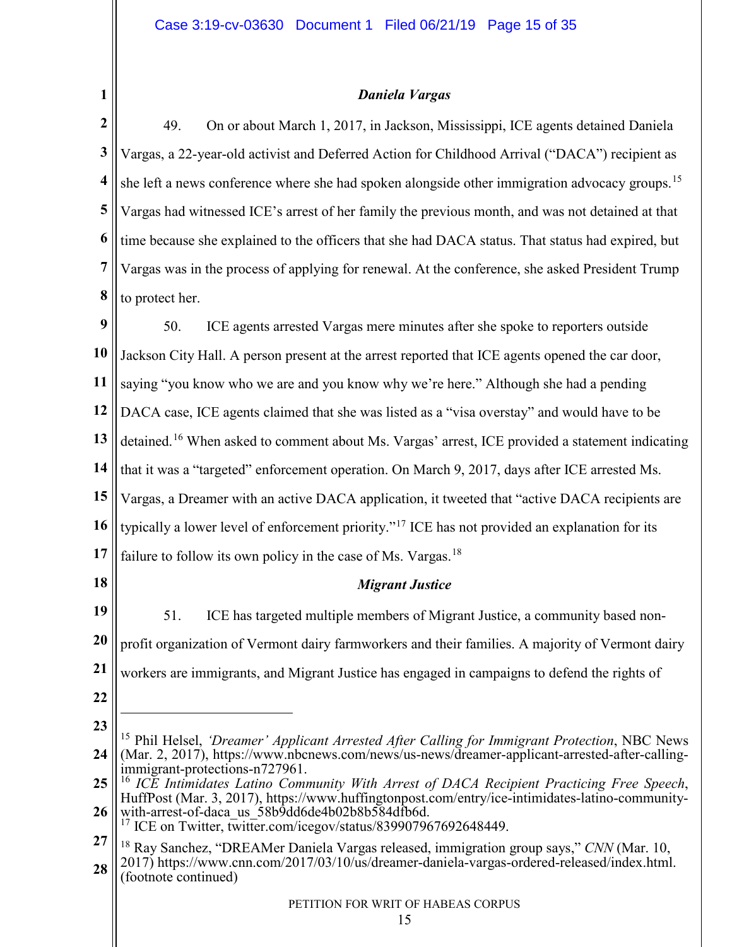#### *Daniela Vargas*

**2 3 4 5 6 7 8** 49. On or about March 1, 2017, in Jackson, Mississippi, ICE agents detained Daniela Vargas, a 22-year-old activist and Deferred Action for Childhood Arrival ("DACA") recipient as she left a news conference where she had spoken alongside other immigration advocacy groups.<sup>15</sup> Vargas had witnessed ICE's arrest of her family the previous month, and was not detained at that time because she explained to the officers that she had DACA status. That status had expired, but Vargas was in the process of applying for renewal. At the conference, she asked President Trump to protect her.

**9 10 11 12 13 14 15 16 17 18 19 20** 50. ICE agents arrested Vargas mere minutes after she spoke to reporters outside Jackson City Hall. A person present at the arrest reported that ICE agents opened the car door, saying "you know who we are and you know why we're here." Although she had a pending DACA case, ICE agents claimed that she was listed as a "visa overstay" and would have to be detained.<sup>[16](#page-14-1)</sup> When asked to comment about Ms. Vargas' arrest, ICE provided a statement indicating that it was a "targeted" enforcement operation. On March 9, 2017, days after ICE arrested Ms. Vargas, a Dreamer with an active DACA application, it tweeted that "active DACA recipients are typically a lower level of enforcement priority."<sup>[17](#page-14-2)</sup> ICE has not provided an explanation for its failure to follow its own policy in the case of Ms. Vargas.<sup>[18](#page-14-3)</sup> *Migrant Justice* 51. ICE has targeted multiple members of Migrant Justice, a community based nonprofit organization of Vermont dairy farmworkers and their families. A majority of Vermont dairy

**21** workers are immigrants, and Migrant Justice has engaged in campaigns to defend the rights of

**22**

**1**

**23**

 $\overline{a}$ 

<span id="page-14-0"></span>**<sup>24</sup>** <sup>15</sup> Phil Helsel, *'Dreamer' Applicant Arrested After Calling for Immigrant Protection*, NBC News (Mar. 2, 2017), https://www.nbcnews.com/news/us-news/dreamer-applicant-arrested-after-callingimmigrant-protections-n727961.

<span id="page-14-1"></span>**<sup>25</sup> 26** <sup>16</sup> *ICE Intimidates Latino Community With Arrest of DACA Recipient Practicing Free Speech*, HuffPost (Mar. 3, 2017), https://www.huffingtonpost.com/entry/ice-intimidates-latino-community-<br>with-arrest-of-daca us 58b9dd6de4b02b8b584dfb6d.

<sup>&</sup>lt;sup>17</sup> ICE on Twitter, twitter.com/icegov/status/839907967692648449.

<span id="page-14-3"></span><span id="page-14-2"></span>**<sup>27</sup> 28** <sup>18</sup> Ray Sanchez, "DREAMer Daniela Vargas released, immigration group says," *CNN* (Mar. 10, 2017) https://www.cnn.com/2017/03/10/us/dreamer-daniela-vargas-ordered-released/index.html. (footnote continued)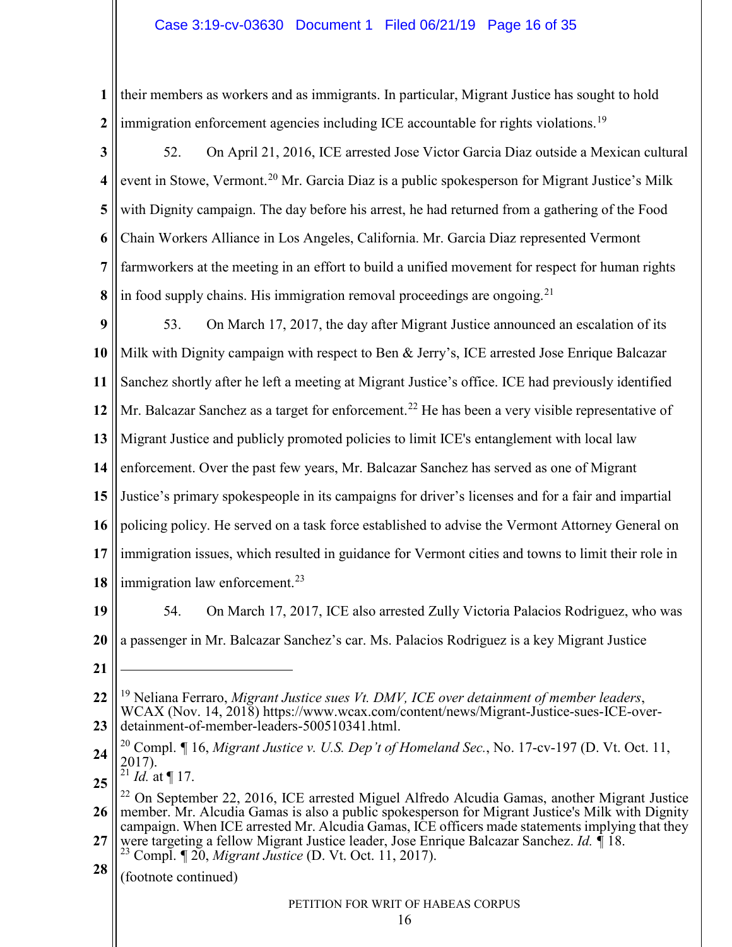#### Case 3:19-cv-03630 Document 1 Filed 06/21/19 Page 16 of 35

**1 2** their members as workers and as immigrants. In particular, Migrant Justice has sought to hold immigration enforcement agencies including ICE accountable for rights violations.<sup>19</sup>

**3 4 5 6 7 8** 52. On April 21, 2016, ICE arrested Jose Victor Garcia Diaz outside a Mexican cultural event in Stowe, Vermont.<sup>[20](#page-15-1)</sup> Mr. Garcia Diaz is a public spokesperson for Migrant Justice's Milk with Dignity campaign. The day before his arrest, he had returned from a gathering of the Food Chain Workers Alliance in Los Angeles, California. Mr. Garcia Diaz represented Vermont farmworkers at the meeting in an effort to build a unified movement for respect for human rights in food supply chains. His immigration removal proceedings are ongoing.<sup>[21](#page-15-2)</sup>

**9 10 11 12 13 14 15 16 17 18** 53. On March 17, 2017, the day after Migrant Justice announced an escalation of its Milk with Dignity campaign with respect to Ben & Jerry's, ICE arrested Jose Enrique Balcazar Sanchez shortly after he left a meeting at Migrant Justice's office. ICE had previously identified Mr. Balcazar Sanchez as a target for enforcement.<sup>[22](#page-15-3)</sup> He has been a very visible representative of Migrant Justice and publicly promoted policies to limit ICE's entanglement with local law enforcement. Over the past few years, Mr. Balcazar Sanchez has served as one of Migrant Justice's primary spokespeople in its campaigns for driver's licenses and for a fair and impartial policing policy. He served on a task force established to advise the Vermont Attorney General on immigration issues, which resulted in guidance for Vermont cities and towns to limit their role in immigration law enforcement.<sup>[23](#page-15-4)</sup>

**19**

54. On March 17, 2017, ICE also arrested Zully Victoria Palacios Rodriguez, who was

**20**

a passenger in Mr. Balcazar Sanchez's car. Ms. Palacios Rodriguez is a key Migrant Justice

**21**

 $\overline{a}$ 

<span id="page-15-0"></span>**22 23** <sup>19</sup> Neliana Ferraro, *Migrant Justice sues Vt. DMV, ICE over detainment of member leaders*, WCAX (Nov. 14, 2018) https://www.wcax.com/content/news/Migrant-Justice-sues-ICE-overdetainment-of-member-leaders-500510341.html.

<span id="page-15-1"></span>**24** <sup>20</sup> Compl. *¶* 16, *Migrant Justice v. U.S. Dep't of Homeland Sec.*, No. 17-cv-197 (D. Vt. Oct. 11, 2017).

<span id="page-15-2"></span>**25**  $^{21}$  *Id.* at ¶ 17.

<span id="page-15-3"></span>**26** <sup>22</sup> On September 22, 2016, ICE arrested Miguel Alfredo Alcudia Gamas, another Migrant Justice member. Mr. Alcudia Gamas is also a public spokesperson for Migrant Justice's Milk with Dignity campaign. When ICE arrested Mr. Alcudia Gamas, ICE officers made statements implying that they

<span id="page-15-4"></span>**27** were targeting a fellow Migrant Justice leader, Jose Enrique Balcazar Sanchez. *Id. ¶* 18. <sup>23</sup> Compl. *¶* 20, *Migrant Justice* (D. Vt. Oct. 11, 2017).

**28** (footnote continued)

#### PETITION FOR WRIT OF HABEAS CORPUS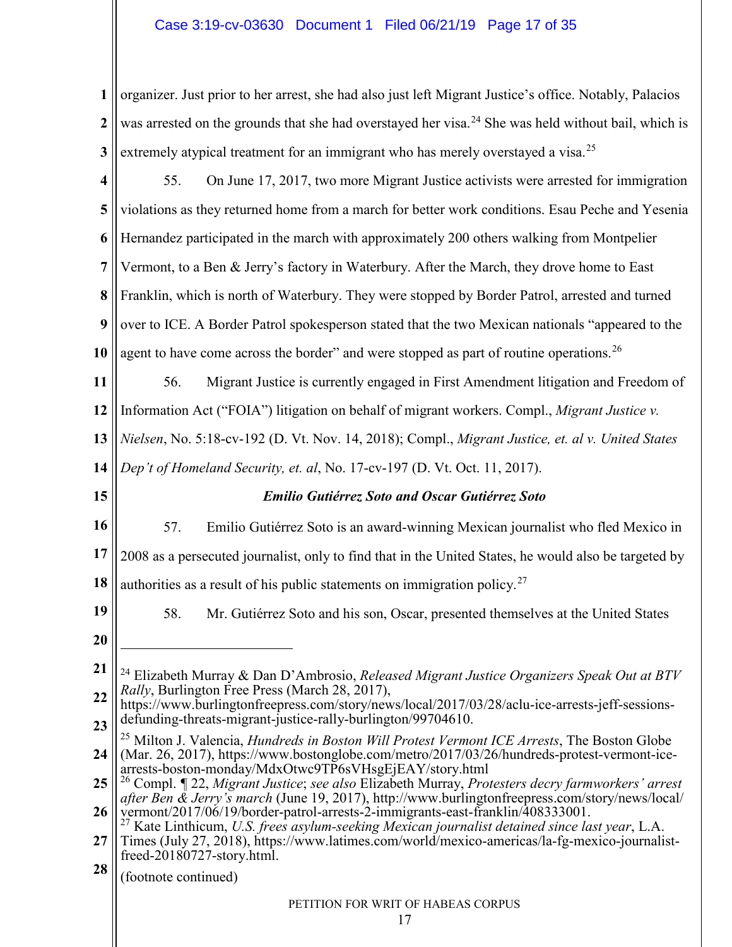## Case 3:19-cv-03630 Document 1 Filed 06/21/19 Page 17 of 35

**1 2 3** organizer. Just prior to her arrest, she had also just left Migrant Justice's office. Notably, Palacios was arrested on the grounds that she had overstayed her visa.<sup>[24](#page-16-0)</sup> She was held without bail, which is extremely atypical treatment for an immigrant who has merely overstayed a visa.<sup>[25](#page-16-1)</sup>

**4 5 6 7 8 9 10 11 12 13 14 15 16 17 18 19 20 21 22 23** 55. On June 17, 2017, two more Migrant Justice activists were arrested for immigration violations as they returned home from a march for better work conditions. Esau Peche and Yesenia Hernandez participated in the march with approximately 200 others walking from Montpelier Vermont, to a Ben & Jerry's factory in Waterbury. After the March, they drove home to East Franklin, which is north of Waterbury. They were stopped by Border Patrol, arrested and turned over to ICE. A Border Patrol spokesperson stated that the two Mexican nationals "appeared to the agent to have come across the border" and were stopped as part of routine operations.<sup>[26](#page-16-2)</sup> 56. Migrant Justice is currently engaged in First Amendment litigation and Freedom of Information Act ("FOIA") litigation on behalf of migrant workers. Compl., *Migrant Justice v. Nielsen*, No. 5:18-cv-192 (D. Vt. Nov. 14, 2018); Compl., *Migrant Justice, et. al v. United States Dep't of Homeland Security, et. al*, No. 17-cv-197 (D. Vt. Oct. 11, 2017). *Emilio Gutiérrez Soto and Oscar Gutiérrez Soto* 57. Emilio Gutiérrez Soto is an award-winning Mexican journalist who fled Mexico in 2008 as a persecuted journalist, only to find that in the United States, he would also be targeted by authorities as a result of his public statements on immigration policy.<sup>[27](#page-16-3)</sup> 58. Mr. Gutiérrez Soto and his son, Oscar, presented themselves at the United States  $\overline{a}$ <sup>24</sup> Elizabeth Murray & Dan D'Ambrosio, *Released Migrant Justice Organizers Speak Out at BTV Rally*, Burlington Free Press (March 28, 2017), https://www.burlingtonfreepress.com/story/news/local/2017/03/28/aclu-ice-arrests-jeff-sessionsdefunding-threats-migrant-justice-rally-burlington/99704610. <sup>25</sup> Milton J. Valencia, *Hundreds in Boston Will Protest Vermont ICE Arrests*, The Boston Globe

<span id="page-16-1"></span><span id="page-16-0"></span>**<sup>24</sup>** (Mar. 26, 2017), https://www.bostonglobe.com/metro/2017/03/26/hundreds-protest-vermont-ice-<br>arrests-boston-monday/MdxOtwc9TP6sVHsgEjEAY/story.html

<span id="page-16-2"></span>**<sup>25</sup> 26** <sup>26</sup> Compl. *¶ 22, Migrant Justice; see also Elizabeth Murray, Protesters decry farmworkers' arrest after Ben & Jerry's march* (June 19, 2017), http://www.burlingtonfreepress.com/story/news/local/ vermont/2017/06/19/border-patrol-arrests-2-immigrants-east-franklin/408333001.

<span id="page-16-3"></span>**<sup>27</sup>** <sup>27</sup> Kate Linthicum, *U.S. frees asylum-seeking Mexican journalist detained since last year*, L.A. Times (July 27, 2018), https://www.latimes.com/world/mexico-americas/la-fg-mexico-journalist-

**<sup>28</sup>** freed-20180727-story.html. (footnote continued)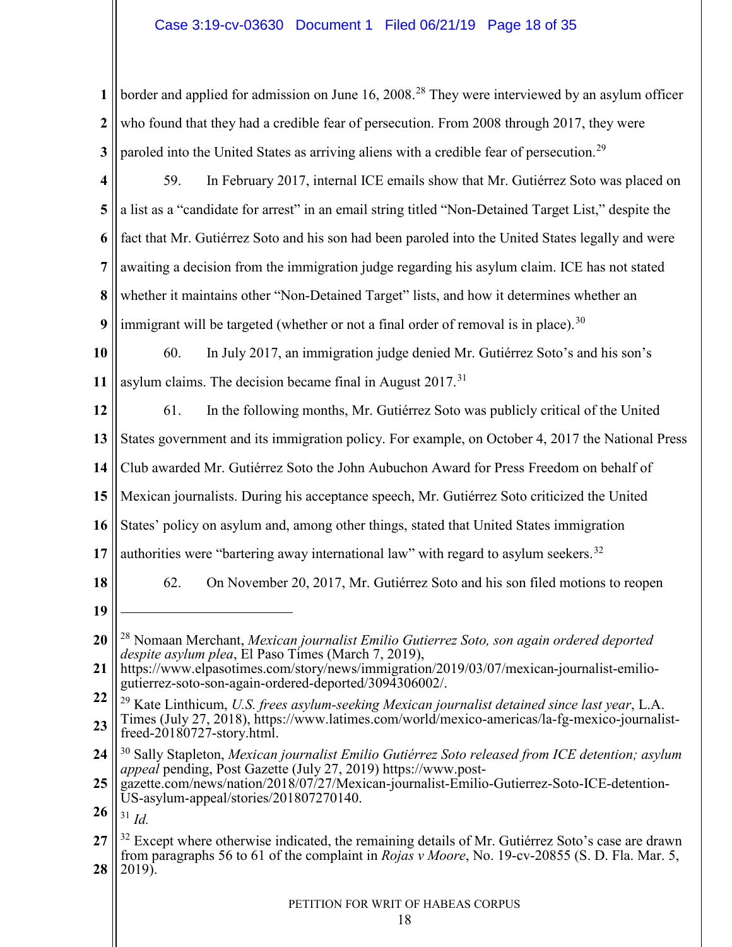**1 2 3** border and applied for admission on June 16, 2008.<sup>[28](#page-17-0)</sup> They were interviewed by an asylum officer who found that they had a credible fear of persecution. From 2008 through 2017, they were paroled into the United States as arriving aliens with a credible fear of persecution.<sup>[29](#page-17-1)</sup>

- **4 5 6 7 8 9** 59. In February 2017, internal ICE emails show that Mr. Gutiérrez Soto was placed on a list as a "candidate for arrest" in an email string titled "Non-Detained Target List," despite the fact that Mr. Gutiérrez Soto and his son had been paroled into the United States legally and were awaiting a decision from the immigration judge regarding his asylum claim. ICE has not stated whether it maintains other "Non-Detained Target" lists, and how it determines whether an immigrant will be targeted (whether or not a final order of removal is in place).<sup>30</sup>
- **10 11** 60. In July 2017, an immigration judge denied Mr. Gutiérrez Soto's and his son's asylum claims. The decision became final in August 2017.<sup>31</sup>
- **12** 61. In the following months, Mr. Gutiérrez Soto was publicly critical of the United
- **13** States government and its immigration policy. For example, on October 4, 2017 the National Press
- **14** Club awarded Mr. Gutiérrez Soto the John Aubuchon Award for Press Freedom on behalf of
- **15** Mexican journalists. During his acceptance speech, Mr. Gutiérrez Soto criticized the United
- **16** States' policy on asylum and, among other things, stated that United States immigration
- **17** authorities were "bartering away international law" with regard to asylum seekers. $32$
- **18**
- 62. On November 20, 2017, Mr. Gutiérrez Soto and his son filed motions to reopen
- **19**

- $\overline{a}$ 
	- <sup>28</sup> Nomaan Merchant, *Mexican journalist Emilio Gutierrez Soto, son again ordered deported*
- <span id="page-17-0"></span>*despite asylum plea*, El Paso Times (March 7, 2019),

**<sup>21</sup>** https://www.elpasotimes.com/story/news/immigration/2019/03/07/mexican-journalist-emiliogutierrez-soto-son-again-ordered-deported/3094306002/.

<span id="page-17-1"></span>**<sup>22</sup>** <sup>29</sup> Kate Linthicum, *U.S. frees asylum-seeking Mexican journalist detained since last year*, L.A.

**<sup>23</sup>** Times (July 27, 2018), https://www.latimes.com/world/mexico-americas/la-fg-mexico-journalistfreed-20180727-story.html.

<span id="page-17-2"></span>**<sup>24</sup>** <sup>30</sup> Sally Stapleton, *Mexican journalist Emilio Gutiérrez Soto released from ICE detention; asylum appeal* pending, Post Gazette (July 27, 2019) https://www.post-

**<sup>25</sup>** gazette.com/news/nation/2018/07/27/Mexican-journalist-Emilio-Gutierrez-Soto-ICE-detention-US-asylum-appeal/stories/201807270140.

<span id="page-17-3"></span>**<sup>26</sup>** <sup>31</sup> *Id.*

<span id="page-17-4"></span>**<sup>27</sup> 28**  $32$  Except where otherwise indicated, the remaining details of Mr. Gutiérrez Soto's case are drawn from paragraphs 56 to 61 of the complaint in *Rojas v Moore*, No. 19-cv-20855 (S. D. Fla. Mar. 5, 2019).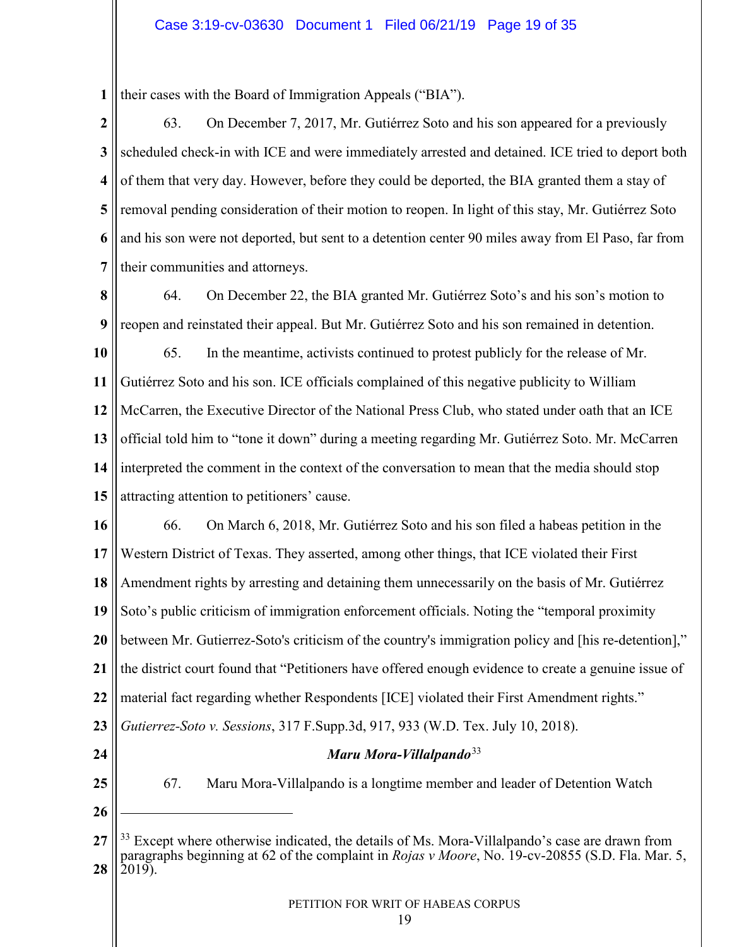**1** their cases with the Board of Immigration Appeals ("BIA").

- **2 3 4 5 6 7** 63. On December 7, 2017, Mr. Gutiérrez Soto and his son appeared for a previously scheduled check-in with ICE and were immediately arrested and detained. ICE tried to deport both of them that very day. However, before they could be deported, the BIA granted them a stay of removal pending consideration of their motion to reopen. In light of this stay, Mr. Gutiérrez Soto and his son were not deported, but sent to a detention center 90 miles away from El Paso, far from their communities and attorneys.
- **8 9** 64. On December 22, the BIA granted Mr. Gutiérrez Soto's and his son's motion to reopen and reinstated their appeal. But Mr. Gutiérrez Soto and his son remained in detention.
- **10 11 12 13 14 15** 65. In the meantime, activists continued to protest publicly for the release of Mr. Gutiérrez Soto and his son. ICE officials complained of this negative publicity to William McCarren, the Executive Director of the National Press Club, who stated under oath that an ICE official told him to "tone it down" during a meeting regarding Mr. Gutiérrez Soto. Mr. McCarren interpreted the comment in the context of the conversation to mean that the media should stop attracting attention to petitioners' cause.
- **16 17 18 19 20 21 22 23 24 25 26** 66. On March 6, 2018, Mr. Gutiérrez Soto and his son filed a habeas petition in the Western District of Texas. They asserted, among other things, that ICE violated their First Amendment rights by arresting and detaining them unnecessarily on the basis of Mr. Gutiérrez Soto's public criticism of immigration enforcement officials. Noting the "temporal proximity between Mr. Gutierrez-Soto's criticism of the country's immigration policy and [his re-detention]," the district court found that "Petitioners have offered enough evidence to create a genuine issue of material fact regarding whether Respondents [ICE] violated their First Amendment rights." *Gutierrez-Soto v. Sessions*, 317 F.Supp.3d, 917, 933 (W.D. Tex. July 10, 2018). *Maru Mora-Villalpando*[33](#page-18-0) 67. Maru Mora-Villalpando is a longtime member and leader of Detention Watch  $\overline{a}$

<span id="page-18-0"></span>**<sup>27</sup> 28**  $33$  Except where otherwise indicated, the details of Ms. Mora-Villalpando's case are drawn from paragraphs beginning at 62 of the complaint in *Rojas v Moore*, No. 19-cv-20855 (S.D. Fla. Mar. 5, 2019).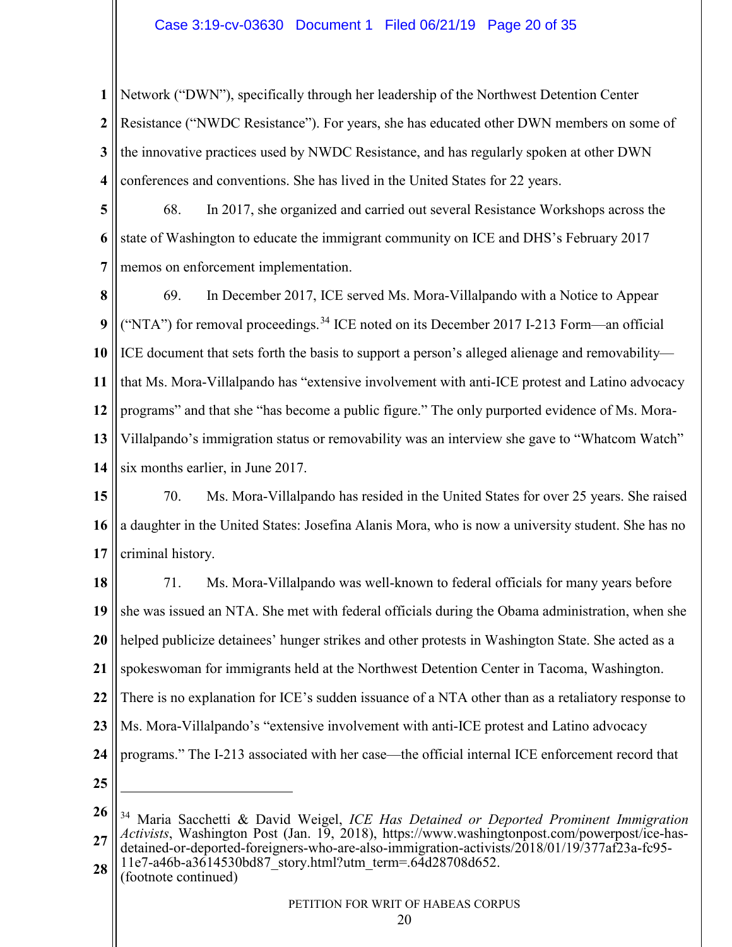### Case 3:19-cv-03630 Document 1 Filed 06/21/19 Page 20 of 35

**1 2 3 4** Network ("DWN"), specifically through her leadership of the Northwest Detention Center Resistance ("NWDC Resistance"). For years, she has educated other DWN members on some of the innovative practices used by NWDC Resistance, and has regularly spoken at other DWN conferences and conventions. She has lived in the United States for 22 years.

**5 6 7** 68. In 2017, she organized and carried out several Resistance Workshops across the state of Washington to educate the immigrant community on ICE and DHS's February 2017 memos on enforcement implementation.

**8 9 10 11 12 13 14** 69. In December 2017, ICE served Ms. Mora-Villalpando with a Notice to Appear ("NTA") for removal proceedings.<sup>[34](#page-19-0)</sup> ICE noted on its December 2017 I-213 Form—an official ICE document that sets forth the basis to support a person's alleged alienage and removability that Ms. Mora-Villalpando has "extensive involvement with anti-ICE protest and Latino advocacy programs" and that she "has become a public figure." The only purported evidence of Ms. Mora-Villalpando's immigration status or removability was an interview she gave to "Whatcom Watch" six months earlier, in June 2017.

**15 16 17** 70. Ms. Mora-Villalpando has resided in the United States for over 25 years. She raised a daughter in the United States: Josefina Alanis Mora, who is now a university student. She has no criminal history.

**18 19 20 21 22 23 24 25** 71. Ms. Mora-Villalpando was well-known to federal officials for many years before she was issued an NTA. She met with federal officials during the Obama administration, when she helped publicize detainees' hunger strikes and other protests in Washington State. She acted as a spokeswoman for immigrants held at the Northwest Detention Center in Tacoma, Washington. There is no explanation for ICE's sudden issuance of a NTA other than as a retaliatory response to Ms. Mora-Villalpando's "extensive involvement with anti-ICE protest and Latino advocacy programs." The I-213 associated with her case—the official internal ICE enforcement record that  $\overline{a}$ 

**28** (footnote continued)

<span id="page-19-0"></span>**<sup>26</sup> 27** <sup>34</sup> Maria Sacchetti & David Weigel, *ICE Has Detained or Deported Prominent Immigration Activists*, Washington Post (Jan. 19, 2018), https://www.washingtonpost.com/powerpost/ice-hasdetained-or-deported-foreigners-who-are-also-immigration-activists/2018/01/19/377af23a-fc95- 11e7-a46b-a3614530bd87\_story.html?utm\_term=.64d28708d652.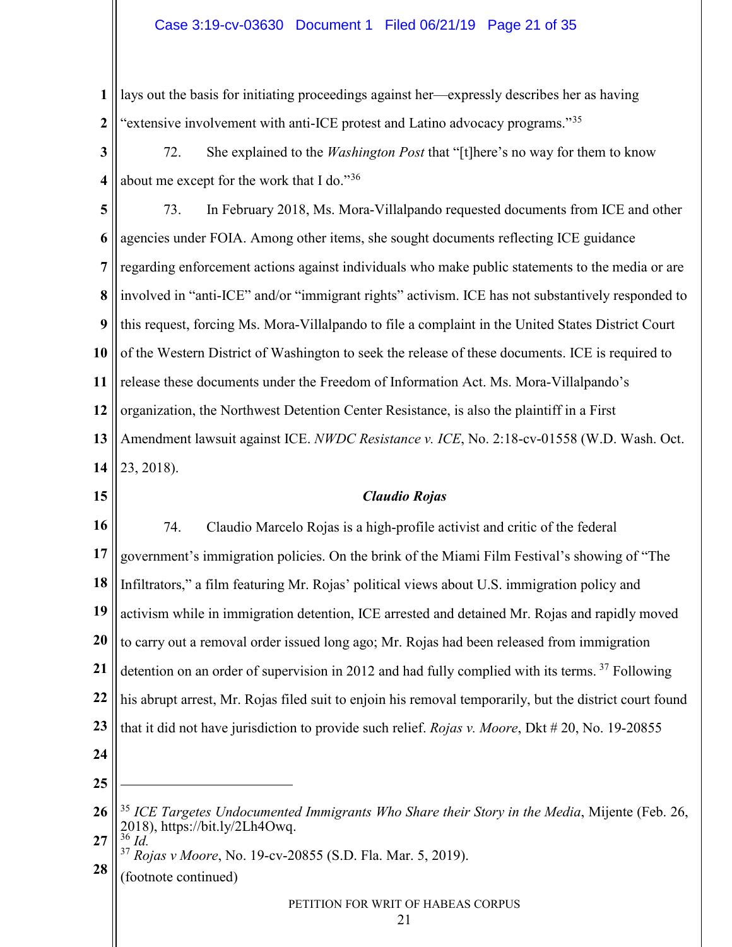#### Case 3:19-cv-03630 Document 1 Filed 06/21/19 Page 21 of 35

**1 2** lays out the basis for initiating proceedings against her—expressly describes her as having "extensive involvement with anti-ICE protest and Latino advocacy programs."<sup>[35](#page-20-0)</sup>

**3 4** 72. She explained to the *Washington Post* that "[t]here's no way for them to know about me except for the work that I do."[36](#page-20-1) 

<span id="page-20-2"></span><span id="page-20-1"></span><span id="page-20-0"></span>**5 6 7 8 9 10 11 12 13 14 15 16 17 18 19 20 21 22 23 24 25 26 27 28** PETITION FOR WRIT OF HABEAS CORPUS 21 73. In February 2018, Ms. Mora-Villalpando requested documents from ICE and other agencies under FOIA. Among other items, she sought documents reflecting ICE guidance regarding enforcement actions against individuals who make public statements to the media or are involved in "anti-ICE" and/or "immigrant rights" activism. ICE has not substantively responded to this request, forcing Ms. Mora-Villalpando to file a complaint in the United States District Court of the Western District of Washington to seek the release of these documents. ICE is required to release these documents under the Freedom of Information Act. Ms. Mora-Villalpando's organization, the Northwest Detention Center Resistance, is also the plaintiff in a First Amendment lawsuit against ICE. *NWDC Resistance v. ICE*, No. 2:18-cv-01558 (W.D. Wash. Oct. 23, 2018). *Claudio Rojas* 74. Claudio Marcelo Rojas is a high-profile activist and critic of the federal government's immigration policies. On the brink of the Miami Film Festival's showing of "The Infiltrators," a film featuring Mr. Rojas' political views about U.S. immigration policy and activism while in immigration detention, ICE arrested and detained Mr. Rojas and rapidly moved to carry out a removal order issued long ago; Mr. Rojas had been released from immigration detention on an order of supervision in 2012 and had fully complied with its terms.<sup>[37](#page-20-2)</sup> Following his abrupt arrest, Mr. Rojas filed suit to enjoin his removal temporarily, but the district court found that it did not have jurisdiction to provide such relief. *Rojas v. Moore*, Dkt # 20, No. 19-20855  $\overline{a}$ <sup>35</sup> *ICE Targetes Undocumented Immigrants Who Share their Story in the Media*, Mijente (Feb. 26, 2018), https://bit.ly/2Lh4Owq. <sup>36</sup> *Id.* <sup>37</sup> *Rojas v Moore*, No. 19-cv-20855 (S.D. Fla. Mar. 5, 2019). (footnote continued)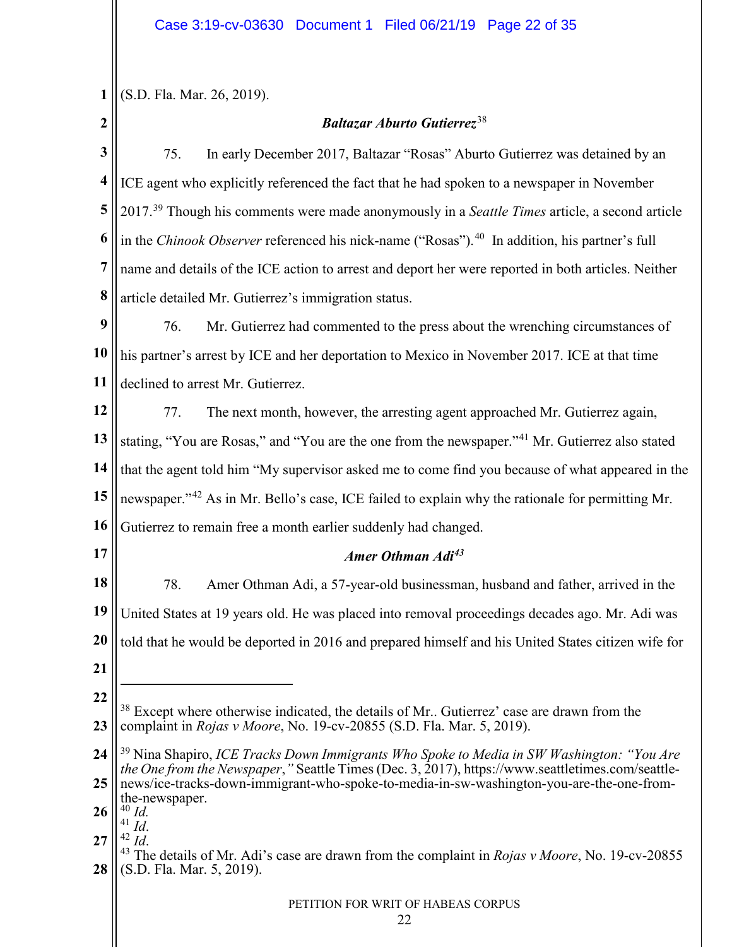**1** (S.D. Fla. Mar. 26, 2019).

**2**

## *Baltazar Aburto Gutierrez*[38](#page-21-0)

**3 4 5 6 7 8** 75. In early December 2017, Baltazar "Rosas" Aburto Gutierrez was detained by an ICE agent who explicitly referenced the fact that he had spoken to a newspaper in November 2017.[39](#page-21-1) Though his comments were made anonymously in a *Seattle Times* article, a second article in the *Chinook Observer* referenced his nick-name ("Rosas").<sup>[40](#page-21-2)</sup> In addition, his partner's full name and details of the ICE action to arrest and deport her were reported in both articles. Neither article detailed Mr. Gutierrez's immigration status.

**9 10 11** 76. Mr. Gutierrez had commented to the press about the wrenching circumstances of his partner's arrest by ICE and her deportation to Mexico in November 2017. ICE at that time declined to arrest Mr. Gutierrez.

**12 13 14 15 16** 77. The next month, however, the arresting agent approached Mr. Gutierrez again, stating, "You are Rosas," and "You are the one from the newspaper."[41](#page-21-3) Mr. Gutierrez also stated that the agent told him "My supervisor asked me to come find you because of what appeared in the newspaper."<sup>[42](#page-21-4)</sup> As in Mr. Bello's case, ICE failed to explain why the rationale for permitting Mr. Gutierrez to remain free a month earlier suddenly had changed.

**17**

## *Amer Othman Adi[43](#page-21-5)*

**18 19 20** 78. Amer Othman Adi, a 57-year-old businessman, husband and father, arrived in the United States at 19 years old. He was placed into removal proceedings decades ago. Mr. Adi was told that he would be deported in 2016 and prepared himself and his United States citizen wife for

**21**

 $\overline{a}$ 

<span id="page-21-0"></span>**<sup>22</sup> 23**  $38$  Except where otherwise indicated, the details of Mr.. Gutierrez' case are drawn from the complaint in *Rojas v Moore*, No. 19-cv-20855 (S.D. Fla. Mar. 5, 2019).

<span id="page-21-1"></span>**<sup>24</sup>** <sup>39</sup> Nina Shapiro, *ICE Tracks Down Immigrants Who Spoke to Media in SW Washington: "You Are the One from the Newspaper*,*"* Seattle Times (Dec. 3, 2017), https://www.seattletimes.com/seattle-

**<sup>25</sup>** news/ice-tracks-down-immigrant-who-spoke-to-media-in-sw-washington-you-are-the-one-fromthe-newspaper.<br> $^{40}$  *Id.*<br> $^{41}$  *Id.* 

<span id="page-21-3"></span><span id="page-21-2"></span>**<sup>26</sup>**

<span id="page-21-5"></span><span id="page-21-4"></span>**<sup>28</sup>** 42 *Id*.<br><sup>42</sup> *Id*. 43 The details of Mr. Adi's case are drawn from the complaint in *Rojas v Moore*, No. 19-cv-20855 (S.D. Fla. Mar. 5, 2019).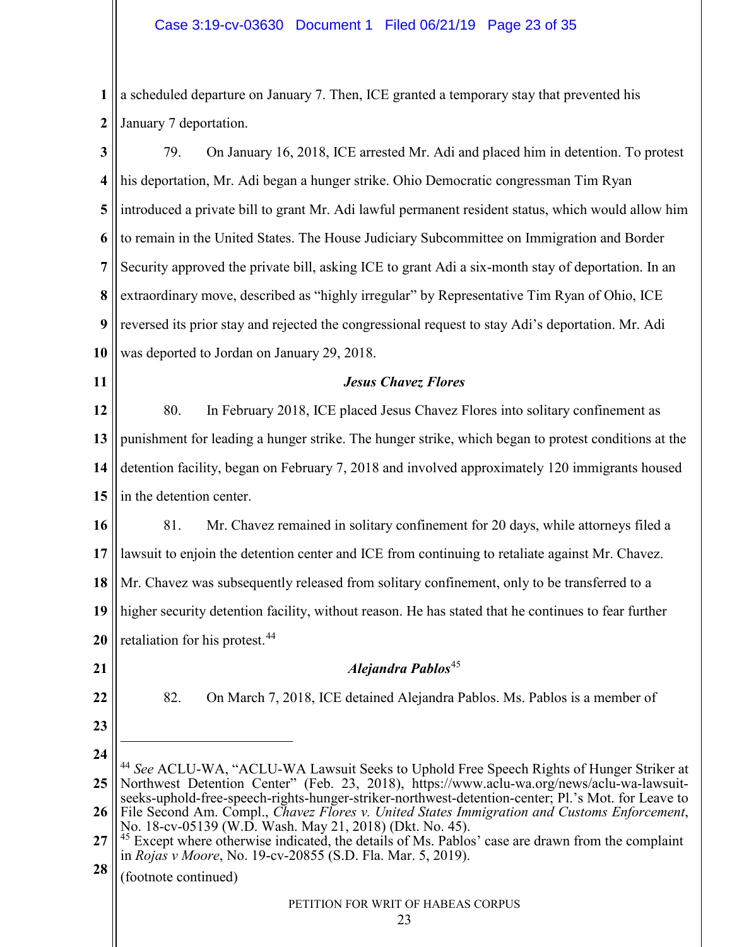**1 2** a scheduled departure on January 7. Then, ICE granted a temporary stay that prevented his January 7 deportation.

<span id="page-22-1"></span><span id="page-22-0"></span>**3 4 5 6 7 8 9 10 11 12 13 14 15 16 17 18 19 20 21 22 23 24 25 26 27 28** PETITION FOR WRIT OF HABEAS CORPUS 23 79. On January 16, 2018, ICE arrested Mr. Adi and placed him in detention. To protest his deportation, Mr. Adi began a hunger strike. Ohio Democratic congressman Tim Ryan introduced a private bill to grant Mr. Adi lawful permanent resident status, which would allow him to remain in the United States. The House Judiciary Subcommittee on Immigration and Border Security approved the private bill, asking ICE to grant Adi a six-month stay of deportation. In an extraordinary move, described as "highly irregular" by Representative Tim Ryan of Ohio, ICE reversed its prior stay and rejected the congressional request to stay Adi's deportation. Mr. Adi was deported to Jordan on January 29, 2018. *Jesus Chavez Flores* 80. In February 2018, ICE placed Jesus Chavez Flores into solitary confinement as punishment for leading a hunger strike. The hunger strike, which began to protest conditions at the detention facility, began on February 7, 2018 and involved approximately 120 immigrants housed in the detention center. 81. Mr. Chavez remained in solitary confinement for 20 days, while attorneys filed a lawsuit to enjoin the detention center and ICE from continuing to retaliate against Mr. Chavez. Mr. Chavez was subsequently released from solitary confinement, only to be transferred to a higher security detention facility, without reason. He has stated that he continues to fear further retaliation for his protest.<sup>44</sup> *Alejandra Pablos*[45](#page-22-1) 82. On March 7, 2018, ICE detained Alejandra Pablos. Ms. Pablos is a member of  $\overline{a}$ <sup>44</sup> *See* ACLU-WA, "ACLU-WA Lawsuit Seeks to Uphold Free Speech Rights of Hunger Striker at Northwest Detention Center" (Feb. 23, 2018), https://www.aclu-wa.org/news/aclu-wa-lawsuitseeks-uphold-free-speech-rights-hunger-striker-northwest-detention-center; Pl.'s Mot. for Leave to File Second Am. Compl., *Chavez Flores v. United States Immigration and Customs Enforcement*, No. 18-cv-05139 (W.D. Wash. May 21, 2018) (Dkt. No. 45). <sup>45</sup> Except where otherwise indicated, the details of Ms. Pablos' case are drawn from the complaint in *Rojas v Moore*, No. 19-cv-20855 (S.D. Fla. Mar. 5, 2019). (footnote continued)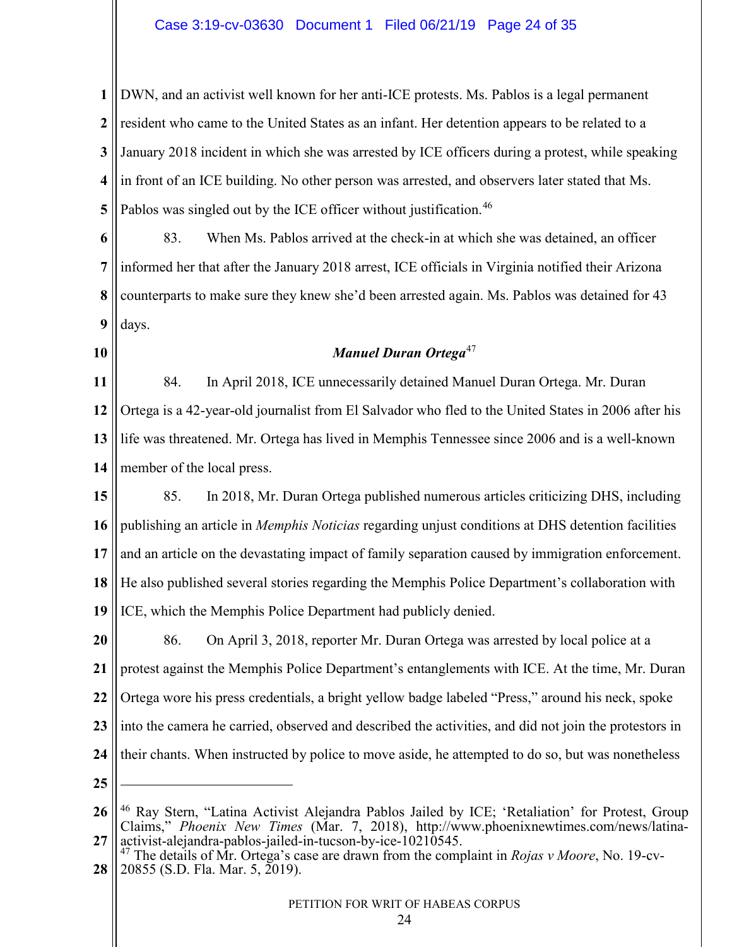**1 2 3 4 5** DWN, and an activist well known for her anti-ICE protests. Ms. Pablos is a legal permanent resident who came to the United States as an infant. Her detention appears to be related to a January 2018 incident in which she was arrested by ICE officers during a protest, while speaking in front of an ICE building. No other person was arrested, and observers later stated that Ms. Pablos was singled out by the ICE officer without justification.<sup>[46](#page-23-0)</sup>

**6 7 8 9** 83. When Ms. Pablos arrived at the check-in at which she was detained, an officer informed her that after the January 2018 arrest, ICE officials in Virginia notified their Arizona counterparts to make sure they knew she'd been arrested again. Ms. Pablos was detained for 43 days.

**10**

#### *Manuel Duran Ortega*[47](#page-23-1)

**11 12 13 14** 84. In April 2018, ICE unnecessarily detained Manuel Duran Ortega. Mr. Duran Ortega is a 42-year-old journalist from El Salvador who fled to the United States in 2006 after his life was threatened. Mr. Ortega has lived in Memphis Tennessee since 2006 and is a well-known member of the local press.

**15 16 17 18 19** 85. In 2018, Mr. Duran Ortega published numerous articles criticizing DHS, including publishing an article in *Memphis Noticias* regarding unjust conditions at DHS detention facilities and an article on the devastating impact of family separation caused by immigration enforcement. He also published several stories regarding the Memphis Police Department's collaboration with ICE, which the Memphis Police Department had publicly denied.

**20 21 22 23 24** 86. On April 3, 2018, reporter Mr. Duran Ortega was arrested by local police at a protest against the Memphis Police Department's entanglements with ICE. At the time, Mr. Duran Ortega wore his press credentials, a bright yellow badge labeled "Press," around his neck, spoke into the camera he carried, observed and described the activities, and did not join the protestors in their chants. When instructed by police to move aside, he attempted to do so, but was nonetheless

**25**

 $\overline{a}$ 

<span id="page-23-0"></span>**<sup>26</sup> 27** <sup>46</sup> Ray Stern, "Latina Activist Alejandra Pablos Jailed by ICE; 'Retaliation' for Protest, Group Claims," *Phoenix New Times* (Mar. 7, 2018), http://www.phoenixnewtimes.com/news/latinaactivist-alejandra-pablos-jailed-in-tucson-by-ice-10210545.

<span id="page-23-1"></span>**<sup>28</sup>** <sup>47</sup> The details of Mr. Ortega's case are drawn from the complaint in *Rojas v Moore*, No. 19-cv-20855 (S.D. Fla. Mar. 5, 2019).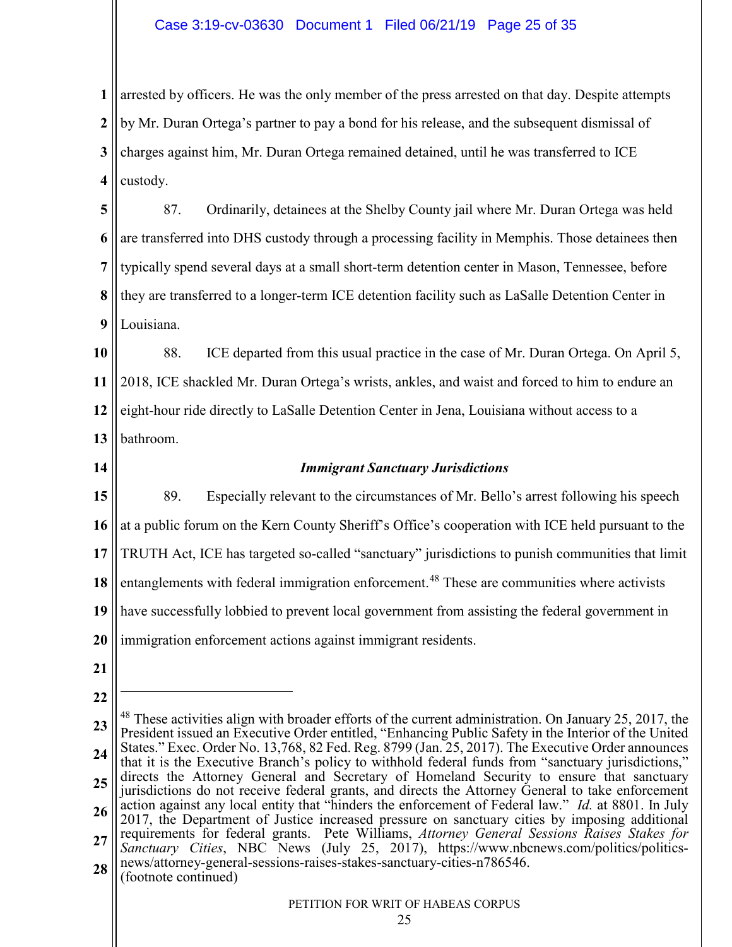## Case 3:19-cv-03630 Document 1 Filed 06/21/19 Page 25 of 35

**1 2 3 4** arrested by officers. He was the only member of the press arrested on that day. Despite attempts by Mr. Duran Ortega's partner to pay a bond for his release, and the subsequent dismissal of charges against him, Mr. Duran Ortega remained detained, until he was transferred to ICE custody.

**5 6 7 8 9** 87. Ordinarily, detainees at the Shelby County jail where Mr. Duran Ortega was held are transferred into DHS custody through a processing facility in Memphis. Those detainees then typically spend several days at a small short-term detention center in Mason, Tennessee, before they are transferred to a longer-term ICE detention facility such as LaSalle Detention Center in Louisiana.

**10 11 12 13** 88. ICE departed from this usual practice in the case of Mr. Duran Ortega. On April 5, 2018, ICE shackled Mr. Duran Ortega's wrists, ankles, and waist and forced to him to endure an eight-hour ride directly to LaSalle Detention Center in Jena, Louisiana without access to a bathroom.

**14**

#### *Immigrant Sanctuary Jurisdictions*

**15 16 17 18 19 20** 89. Especially relevant to the circumstances of Mr. Bello's arrest following his speech at a public forum on the Kern County Sheriff's Office's cooperation with ICE held pursuant to the TRUTH Act, ICE has targeted so-called "sanctuary" jurisdictions to punish communities that limit entanglements with federal immigration enforcement.<sup>[48](#page-24-0)</sup> These are communities where activists have successfully lobbied to prevent local government from assisting the federal government in immigration enforcement actions against immigrant residents.

**21**

**22**

 $\overline{a}$ 

#### PETITION FOR WRIT OF HABEAS CORPUS

<span id="page-24-0"></span>**<sup>23</sup> 24 25 26 27 28**  $48$  These activities align with broader efforts of the current administration. On January 25, 2017, the President issued an Executive Order entitled, "Enhancing Public Safety in the Interior of the United States." Exec. Order No. 13,768, 82 Fed. Reg. 8799 (Jan. 25, 2017). The Executive Order announces that it is the Executive Branch's policy to withhold federal funds from "sanctuary jurisdictions," directs the Attorney General and Secretary of Homeland Security to ensure that sanctuary jurisdictions do not receive federal grants, and directs the Attorney General to take enforcement action against any local entity that "hinders the enforcement of Federal law." *Id.* at 8801. In July 2017, the Department of Justice increased pressure on sanctuary cities by imposing additional requirements for federal grants. Pete Williams, *Attorney General Sessions Raises Stakes for Sanctuary Cities*, NBC News (July 25, 2017), https://www.nbcnews.com/politics/politicsnews/attorney-general-sessions-raises-stakes-sanctuary-cities-n786546. (footnote continued)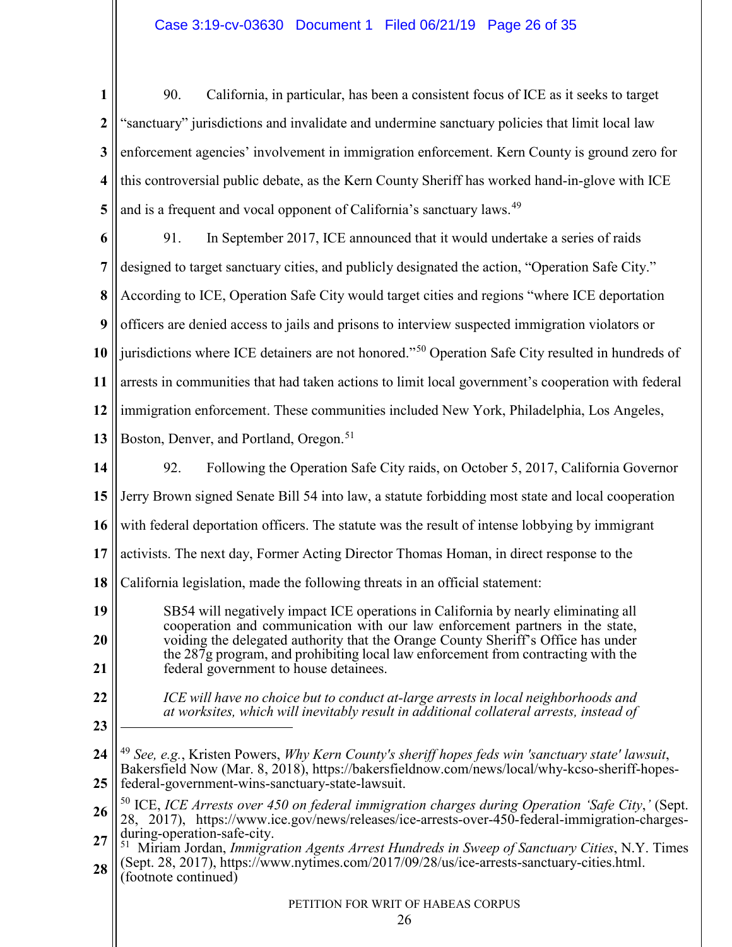**1 2 3 4 5** 90. California, in particular, has been a consistent focus of ICE as it seeks to target "sanctuary" jurisdictions and invalidate and undermine sanctuary policies that limit local law enforcement agencies' involvement in immigration enforcement. Kern County is ground zero for this controversial public debate, as the Kern County Sheriff has worked hand-in-glove with ICE and is a frequent and vocal opponent of California's sanctuary laws.<sup>[49](#page-25-0)</sup>

**6 7 8 9 10 11 12 13** 91. In September 2017, ICE announced that it would undertake a series of raids designed to target sanctuary cities, and publicly designated the action, "Operation Safe City." According to ICE, Operation Safe City would target cities and regions "where ICE deportation officers are denied access to jails and prisons to interview suspected immigration violators or jurisdictions where ICE detainers are not honored."<sup>[50](#page-25-1)</sup> Operation Safe City resulted in hundreds of arrests in communities that had taken actions to limit local government's cooperation with federal immigration enforcement. These communities included New York, Philadelphia, Los Angeles, Boston, Denver, and Portland, Oregon.<sup>51</sup>

<span id="page-25-2"></span><span id="page-25-1"></span><span id="page-25-0"></span>**14 15 16 17 18 19 20 21 22 23 24 25 26 27 28** PETITION FOR WRIT OF HABEAS CORPUS 26 92. Following the Operation Safe City raids, on October 5, 2017, California Governor Jerry Brown signed Senate Bill 54 into law, a statute forbidding most state and local cooperation with federal deportation officers. The statute was the result of intense lobbying by immigrant activists. The next day, Former Acting Director Thomas Homan, in direct response to the California legislation, made the following threats in an official statement: SB54 will negatively impact ICE operations in California by nearly eliminating all cooperation and communication with our law enforcement partners in the state, voiding the delegated authority that the Orange County Sheriff's Office has under the 287g program, and prohibiting local law enforcement from contracting with the federal government to house detainees. *ICE will have no choice but to conduct at-large arrests in local neighborhoods and at worksites, which will inevitably result in additional collateral arrests, instead of*   $\overline{a}$ <sup>49</sup> *See, e.g.*, Kristen Powers, *Why Kern County's sheriff hopes feds win 'sanctuary state' lawsuit*, Bakersfield Now (Mar. 8, 2018), https://bakersfieldnow.com/news/local/why-kcso-sheriff-hopesfederal-government-wins-sanctuary-state-lawsuit. <sup>50</sup> ICE, *ICE Arrests over 450 on federal immigration charges during Operation 'Safe City*,*'* (Sept. 28, 2017), https://www.ice.gov/news/releases/ice-arrests-over-450-federal-immigration-charges-<br>during-operation-safe-city. <sup>51</sup> Miriam Jordan, *Immigration Agents Arrest Hundreds in Sweep of Sanctuary Cities*, N.Y. Times (Sept. 28, 2017), https://www.nytimes.com/2017/09/28/us/ice-arrests-sanctuary-cities.html. (footnote continued)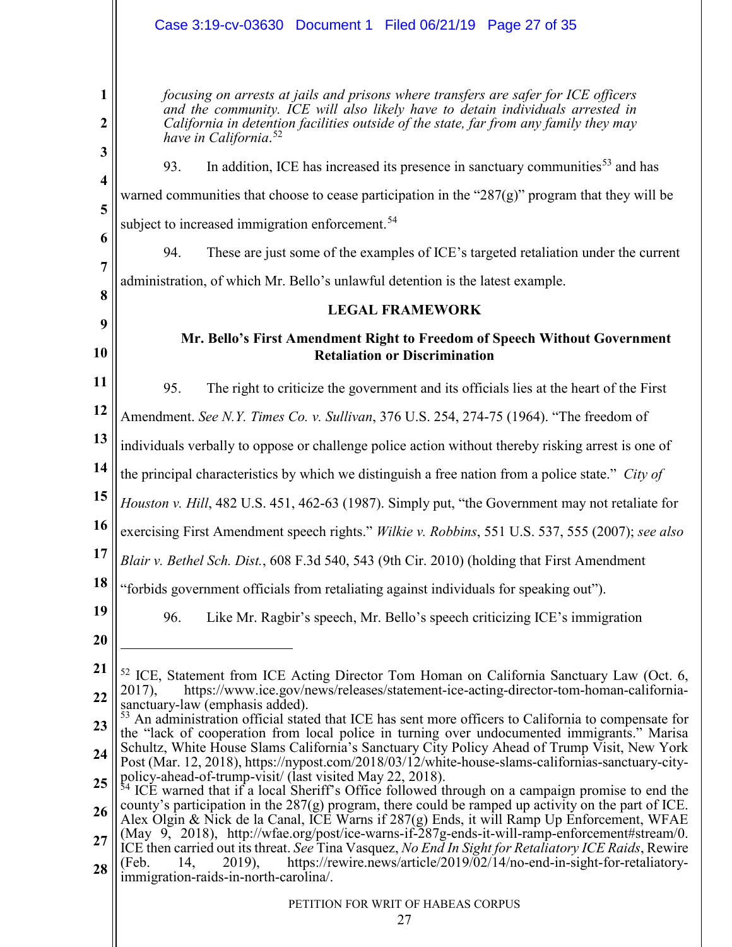<span id="page-26-2"></span><span id="page-26-1"></span><span id="page-26-0"></span>

|                         | Case 3:19-cv-03630 Document 1 Filed 06/21/19 Page 27 of 35                                                                                                                                                                                                                                          |  |  |  |
|-------------------------|-----------------------------------------------------------------------------------------------------------------------------------------------------------------------------------------------------------------------------------------------------------------------------------------------------|--|--|--|
| 1<br>2<br>3             | focusing on arrests at jails and prisons where transfers are safer for ICE officers<br>and the community. ICE will also likely have to detain individuals arrested in<br>California in detention facilities outside of the state, far from any family they may<br>have in California. <sup>52</sup> |  |  |  |
| $\overline{\mathbf{4}}$ | In addition, ICE has increased its presence in sanctuary communities <sup>53</sup> and has<br>93.                                                                                                                                                                                                   |  |  |  |
| 5                       | warned communities that choose to cease participation in the " $287(g)$ " program that they will be                                                                                                                                                                                                 |  |  |  |
| 6                       | subject to increased immigration enforcement. <sup>54</sup>                                                                                                                                                                                                                                         |  |  |  |
| 7                       | 94.<br>These are just some of the examples of ICE's targeted retaliation under the current                                                                                                                                                                                                          |  |  |  |
| 8                       | administration, of which Mr. Bello's unlawful detention is the latest example.                                                                                                                                                                                                                      |  |  |  |
|                         | <b>LEGAL FRAMEWORK</b>                                                                                                                                                                                                                                                                              |  |  |  |
| 9<br>10                 | Mr. Bello's First Amendment Right to Freedom of Speech Without Government<br><b>Retaliation or Discrimination</b>                                                                                                                                                                                   |  |  |  |
| 11                      | 95.<br>The right to criticize the government and its officials lies at the heart of the First                                                                                                                                                                                                       |  |  |  |
| 12                      | Amendment. See N.Y. Times Co. v. Sullivan, 376 U.S. 254, 274-75 (1964). "The freedom of                                                                                                                                                                                                             |  |  |  |
| 13                      | individuals verbally to oppose or challenge police action without thereby risking arrest is one of                                                                                                                                                                                                  |  |  |  |
| 14                      | the principal characteristics by which we distinguish a free nation from a police state." City of                                                                                                                                                                                                   |  |  |  |
| 15                      | Houston v. Hill, 482 U.S. 451, 462-63 (1987). Simply put, "the Government may not retaliate for                                                                                                                                                                                                     |  |  |  |
| 16                      | exercising First Amendment speech rights." Wilkie v. Robbins, 551 U.S. 537, 555 (2007); see also                                                                                                                                                                                                    |  |  |  |
| 17                      | Blair v. Bethel Sch. Dist., 608 F.3d 540, 543 (9th Cir. 2010) (holding that First Amendment                                                                                                                                                                                                         |  |  |  |
| 18                      | "forbids government officials from retaliating against individuals for speaking out").                                                                                                                                                                                                              |  |  |  |
| 19                      | 96.<br>Like Mr. Ragbir's speech, Mr. Bello's speech criticizing ICE's immigration                                                                                                                                                                                                                   |  |  |  |
| 20                      |                                                                                                                                                                                                                                                                                                     |  |  |  |
| 21                      | <sup>52</sup> ICE, Statement from ICE Acting Director Tom Homan on California Sanctuary Law (Oct. 6,                                                                                                                                                                                                |  |  |  |
| 22                      | https://www.ice.gov/news/releases/statement-ice-acting-director-tom-homan-california-<br>2017),<br>sanctuary-law (emphasis added).                                                                                                                                                                  |  |  |  |
| 23                      | <sup>53</sup> An administration official stated that ICE has sent more officers to California to compensate for<br>the "lack of cooperation from local police in turning over undocumented immigrants." Marisa                                                                                      |  |  |  |
| 24                      | Schultz, White House Slams California's Sanctuary City Policy Ahead of Trump Visit, New York<br>Post (Mar. 12, 2018), https://nypost.com/2018/03/12/white-house-slams-californias-sanctuary-city-                                                                                                   |  |  |  |
| 25                      | policy-ahead-of-trump-visit/ (last visited May 22, 2018).<br><sup>54</sup> ICE warned that if a local Sheriff's Office followed through on a campaign promise to end the                                                                                                                            |  |  |  |
| 26                      | county's participation in the $287(g)$ program, there could be ramped up activity on the part of ICE.<br>Alex Olgin & Nick de la Canal, ICE Warns if 287(g) Ends, it will Ramp Up Enforcement, WFAE                                                                                                 |  |  |  |
| 27                      | (May 9, 2018), http://wfae.org/post/ice-warns-if-287g-ends-it-will-ramp-enforcement#stream/0.<br>ICE then carried out its threat. See Tina Vasquez, No End In Sight for Retaliatory ICE Raids, Rewire                                                                                               |  |  |  |
| 28                      | https://rewire.news/article/2019/02/14/no-end-in-sight-for-retaliatory-<br>(Feb.<br>2019),<br>14,<br>immigration-raids-in-north-carolina/.                                                                                                                                                          |  |  |  |
|                         | PETITION FOR WRIT OF HABEAS CORPUS<br>27                                                                                                                                                                                                                                                            |  |  |  |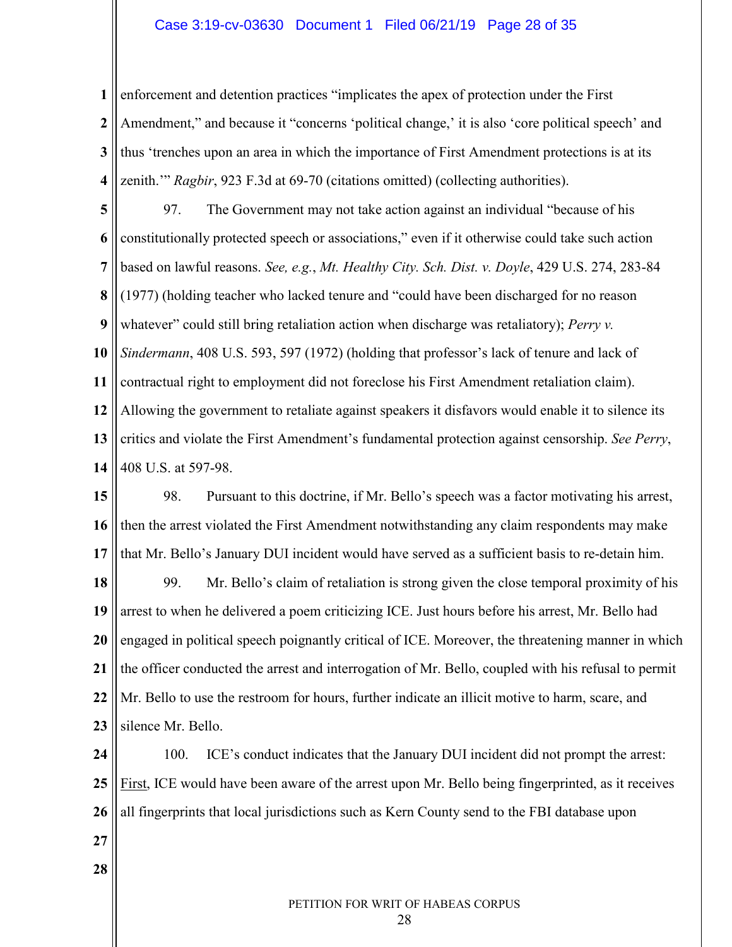#### Case 3:19-cv-03630 Document 1 Filed 06/21/19 Page 28 of 35

**1 2 3 4** enforcement and detention practices "implicates the apex of protection under the First Amendment," and because it "concerns 'political change,' it is also 'core political speech' and thus 'trenches upon an area in which the importance of First Amendment protections is at its zenith.'" *Ragbir*, 923 F.3d at 69-70 (citations omitted) (collecting authorities).

**5 6 7 8 9 10 11 12 13 14** 97. The Government may not take action against an individual "because of his constitutionally protected speech or associations," even if it otherwise could take such action based on lawful reasons. *See, e.g.*, *Mt. Healthy City. Sch. Dist. v. Doyle*, 429 U.S. 274, 283-84 (1977) (holding teacher who lacked tenure and "could have been discharged for no reason whatever" could still bring retaliation action when discharge was retaliatory); *Perry v. Sindermann*, 408 U.S. 593, 597 (1972) (holding that professor's lack of tenure and lack of contractual right to employment did not foreclose his First Amendment retaliation claim). Allowing the government to retaliate against speakers it disfavors would enable it to silence its critics and violate the First Amendment's fundamental protection against censorship. *See Perry*, 408 U.S. at 597-98.

**15 16 17** 98. Pursuant to this doctrine, if Mr. Bello's speech was a factor motivating his arrest, then the arrest violated the First Amendment notwithstanding any claim respondents may make that Mr. Bello's January DUI incident would have served as a sufficient basis to re-detain him.

**18 19 20 21 22 23** 99. Mr. Bello's claim of retaliation is strong given the close temporal proximity of his arrest to when he delivered a poem criticizing ICE. Just hours before his arrest, Mr. Bello had engaged in political speech poignantly critical of ICE. Moreover, the threatening manner in which the officer conducted the arrest and interrogation of Mr. Bello, coupled with his refusal to permit Mr. Bello to use the restroom for hours, further indicate an illicit motive to harm, scare, and silence Mr. Bello.

**24 25 26** 100. ICE's conduct indicates that the January DUI incident did not prompt the arrest: First, ICE would have been aware of the arrest upon Mr. Bello being fingerprinted, as it receives all fingerprints that local jurisdictions such as Kern County send to the FBI database upon

- **27**
- **28**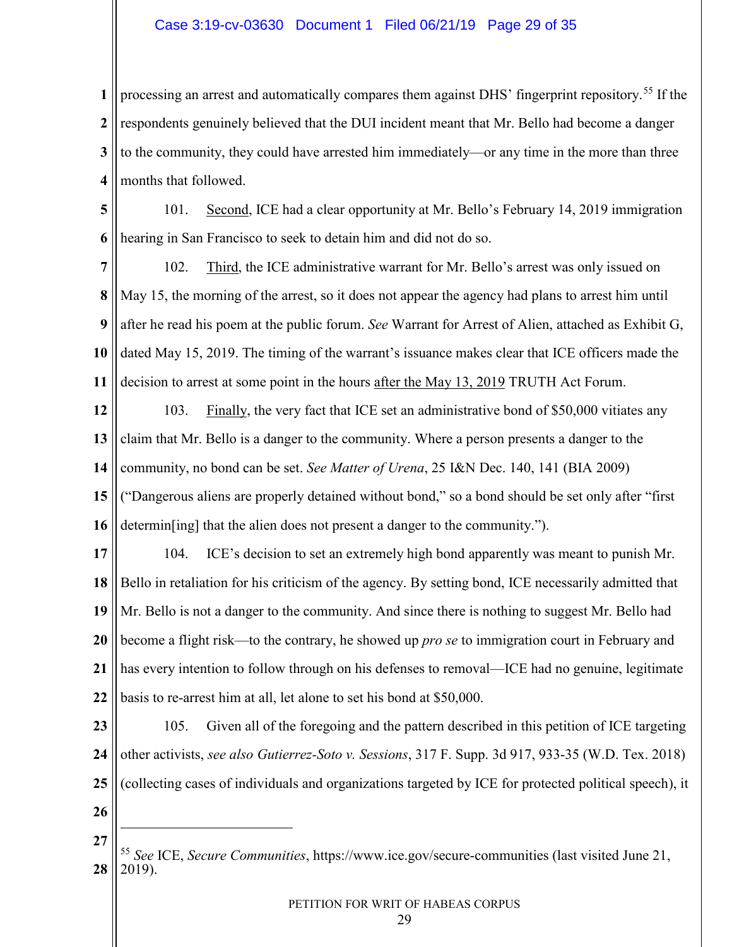#### Case 3:19-cv-03630 Document 1 Filed 06/21/19 Page 29 of 35

**1 2 3 4** processing an arrest and automatically compares them against DHS' fingerprint repository.<sup>[55](#page-28-0)</sup> If the respondents genuinely believed that the DUI incident meant that Mr. Bello had become a danger to the community, they could have arrested him immediately—or any time in the more than three months that followed.

**5 6** 101. Second, ICE had a clear opportunity at Mr. Bello's February 14, 2019 immigration hearing in San Francisco to seek to detain him and did not do so.

**7 8 9 10 11** 102. Third, the ICE administrative warrant for Mr. Bello's arrest was only issued on May 15, the morning of the arrest, so it does not appear the agency had plans to arrest him until after he read his poem at the public forum. *See* Warrant for Arrest of Alien, attached as Exhibit G, dated May 15, 2019. The timing of the warrant's issuance makes clear that ICE officers made the decision to arrest at some point in the hours after the May 13, 2019 TRUTH Act Forum.

**12 13 14 15 16** 103. Finally, the very fact that ICE set an administrative bond of \$50,000 vitiates any claim that Mr. Bello is a danger to the community. Where a person presents a danger to the community, no bond can be set. *See Matter of Urena*, 25 I&N Dec. 140, 141 (BIA 2009) ("Dangerous aliens are properly detained without bond," so a bond should be set only after "first determin[ing] that the alien does not present a danger to the community.").

**17 18 19 20 21 22** 104. ICE's decision to set an extremely high bond apparently was meant to punish Mr. Bello in retaliation for his criticism of the agency. By setting bond, ICE necessarily admitted that Mr. Bello is not a danger to the community. And since there is nothing to suggest Mr. Bello had become a flight risk—to the contrary, he showed up *pro se* to immigration court in February and has every intention to follow through on his defenses to removal—ICE had no genuine, legitimate basis to re-arrest him at all, let alone to set his bond at \$50,000.

**23 24 25 26** 105. Given all of the foregoing and the pattern described in this petition of ICE targeting other activists, *see also Gutierrez-Soto v. Sessions*, 317 F. Supp. 3d 917, 933-35 (W.D. Tex. 2018) (collecting cases of individuals and organizations targeted by ICE for protected political speech), it

**27**

 $\overline{a}$ 

<span id="page-28-0"></span>**<sup>28</sup>** <sup>55</sup> *See* ICE, *Secure Communities*, https://www.ice.gov/secure-communities (last visited June 21, 2019).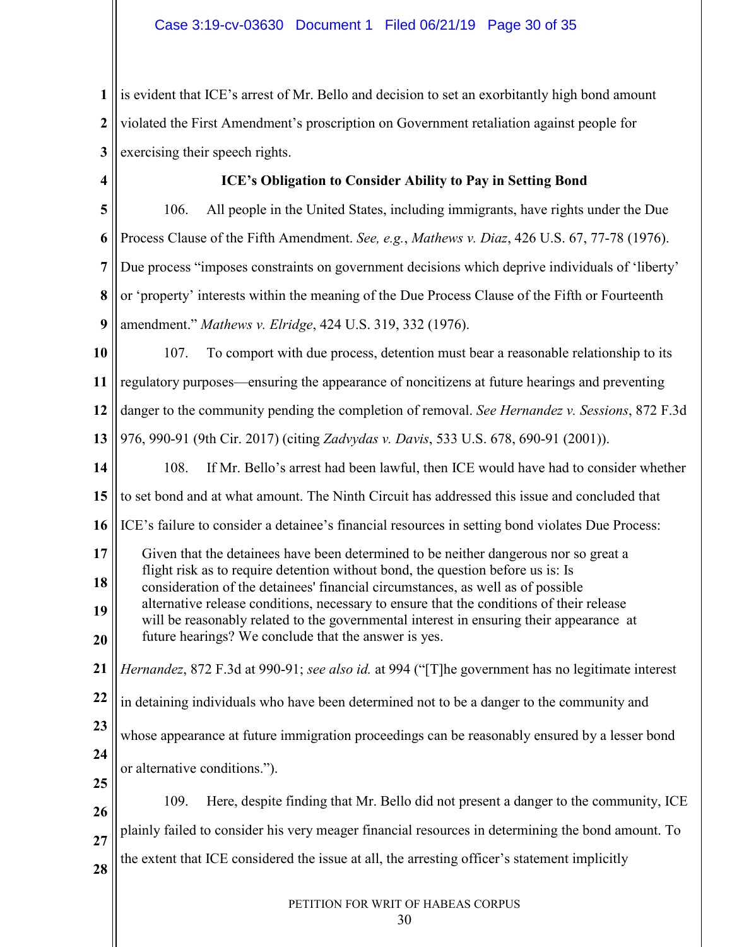**1 2 3** is evident that ICE's arrest of Mr. Bello and decision to set an exorbitantly high bond amount violated the First Amendment's proscription on Government retaliation against people for exercising their speech rights.

**4**

## **ICE's Obligation to Consider Ability to Pay in Setting Bond**

**5 6 7 8 9** 106. All people in the United States, including immigrants, have rights under the Due Process Clause of the Fifth Amendment. *See, e.g.*, *Mathews v. Diaz*, 426 U.S. 67, 77-78 (1976). Due process "imposes constraints on government decisions which deprive individuals of 'liberty' or 'property' interests within the meaning of the Due Process Clause of the Fifth or Fourteenth amendment." *Mathews v. Elridge*, 424 U.S. 319, 332 (1976).

**10 11 12 13** 107. To comport with due process, detention must bear a reasonable relationship to its regulatory purposes—ensuring the appearance of noncitizens at future hearings and preventing danger to the community pending the completion of removal. *See Hernandez v. Sessions*, 872 F.3d 976, 990-91 (9th Cir. 2017) (citing *Zadvydas v. Davis*, 533 U.S. 678, 690-91 (2001)).

**14 15** 108. If Mr. Bello's arrest had been lawful, then ICE would have had to consider whether to set bond and at what amount. The Ninth Circuit has addressed this issue and concluded that

**16** ICE's failure to consider a detainee's financial resources in setting bond violates Due Process:

**17** Given that the detainees have been determined to be neither dangerous nor so great a flight risk as to require detention without bond, the question before us is: Is

**18 19** consideration of the detainees' financial circumstances, as well as of possible alternative release conditions, necessary to ensure that the conditions of their release will be reasonably related to the governmental interest in ensuring their appearance at future hearings? We conclude that the answer is yes.

**21** *Hernandez*, 872 F.3d at 990-91; *see also id.* at 994 ("[T]he government has no legitimate interest

**22** in detaining individuals who have been determined not to be a danger to the community and

**23** whose appearance at future immigration proceedings can be reasonably ensured by a lesser bond

**25** or alternative conditions.").

**24**

**20**

**26 27 28** 109. Here, despite finding that Mr. Bello did not present a danger to the community, ICE plainly failed to consider his very meager financial resources in determining the bond amount. To the extent that ICE considered the issue at all, the arresting officer's statement implicitly

PETITION FOR WRIT OF HABEAS CORPUS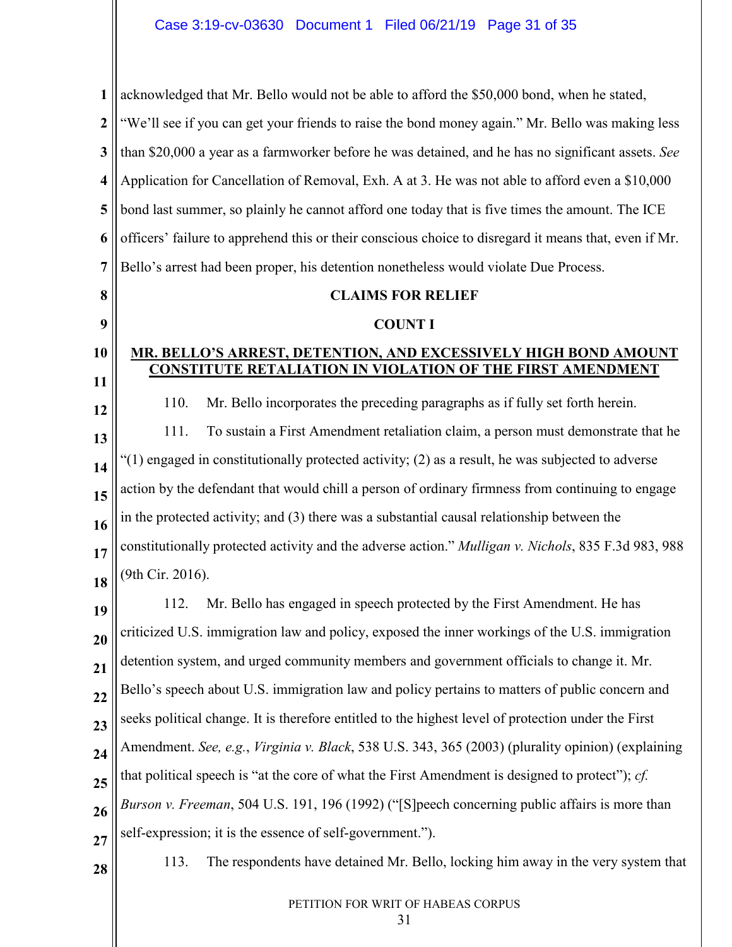**1 2 3 4 5 6 7 8 9 10 11 12 13 14 15 16 17 18 19 20 21 22 23 24 25 26 27 28** PETITION FOR WRIT OF HABEAS CORPUS acknowledged that Mr. Bello would not be able to afford the \$50,000 bond, when he stated, "We'll see if you can get your friends to raise the bond money again." Mr. Bello was making less than \$20,000 a year as a farmworker before he was detained, and he has no significant assets. *See* Application for Cancellation of Removal, Exh. A at 3. He was not able to afford even a \$10,000 bond last summer, so plainly he cannot afford one today that is five times the amount. The ICE officers' failure to apprehend this or their conscious choice to disregard it means that, even if Mr. Bello's arrest had been proper, his detention nonetheless would violate Due Process. **CLAIMS FOR RELIEF COUNT I MR. BELLO'S ARREST, DETENTION, AND EXCESSIVELY HIGH BOND AMOUNT CONSTITUTE RETALIATION IN VIOLATION OF THE FIRST AMENDMENT** 110. Mr. Bello incorporates the preceding paragraphs as if fully set forth herein. 111. To sustain a First Amendment retaliation claim, a person must demonstrate that he "(1) engaged in constitutionally protected activity; (2) as a result, he was subjected to adverse action by the defendant that would chill a person of ordinary firmness from continuing to engage in the protected activity; and (3) there was a substantial causal relationship between the constitutionally protected activity and the adverse action." *Mulligan v. Nichols*, 835 F.3d 983, 988 (9th Cir. 2016). 112. Mr. Bello has engaged in speech protected by the First Amendment. He has criticized U.S. immigration law and policy, exposed the inner workings of the U.S. immigration detention system, and urged community members and government officials to change it. Mr. Bello's speech about U.S. immigration law and policy pertains to matters of public concern and seeks political change. It is therefore entitled to the highest level of protection under the First Amendment. *See, e.g.*, *Virginia v. Black*, 538 U.S. 343, 365 (2003) (plurality opinion) (explaining that political speech is "at the core of what the First Amendment is designed to protect"); *cf. Burson v. Freeman*, 504 U.S. 191, 196 (1992) ("[S]peech concerning public affairs is more than self-expression; it is the essence of self-government."). 113. The respondents have detained Mr. Bello, locking him away in the very system that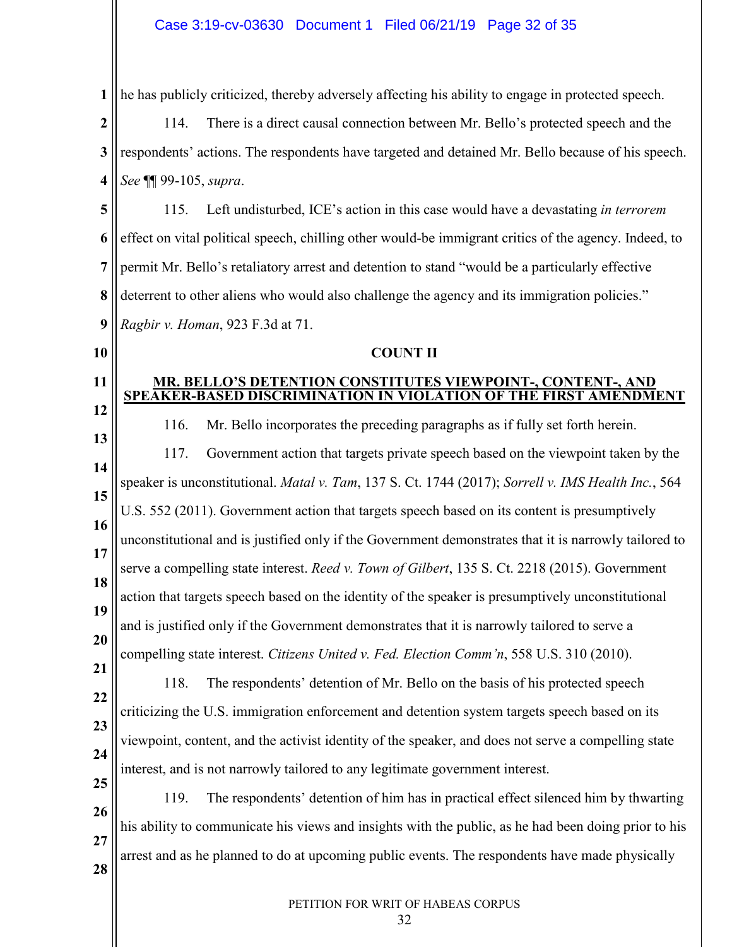**1** he has publicly criticized, thereby adversely affecting his ability to engage in protected speech.

**2 3 4** 114. There is a direct causal connection between Mr. Bello's protected speech and the respondents' actions. The respondents have targeted and detained Mr. Bello because of his speech. *See* ¶¶ 99-105, *supra*.

**5 6 7 8 9** 115. Left undisturbed, ICE's action in this case would have a devastating *in terrorem* effect on vital political speech, chilling other would-be immigrant critics of the agency. Indeed, to permit Mr. Bello's retaliatory arrest and detention to stand "would be a particularly effective deterrent to other aliens who would also challenge the agency and its immigration policies." *Ragbir v. Homan*, 923 F.3d at 71.

#### **10 11 COUNT II MR. BELLO'S DETENTION CONSTITUTES VIEWPOINT-, CONTENT-, AND SPEAKER-BASED DISCRIMINATION IN VIOLATION OF THE FIRST AMENDMENT**

**12**

116. Mr. Bello incorporates the preceding paragraphs as if fully set forth herein.

**13 14 15 16 17 18 19 20 21** 117. Government action that targets private speech based on the viewpoint taken by the speaker is unconstitutional. *Matal v. Tam*, 137 S. Ct. 1744 (2017); *Sorrell v. IMS Health Inc.*, 564 U.S. 552 (2011). Government action that targets speech based on its content is presumptively unconstitutional and is justified only if the Government demonstrates that it is narrowly tailored to serve a compelling state interest. *Reed v. Town of Gilbert*, 135 S. Ct. 2218 (2015). Government action that targets speech based on the identity of the speaker is presumptively unconstitutional and is justified only if the Government demonstrates that it is narrowly tailored to serve a compelling state interest. *Citizens United v. Fed. Election Comm'n*, 558 U.S. 310 (2010). 118. The respondents' detention of Mr. Bello on the basis of his protected speech

- **22 23 24** criticizing the U.S. immigration enforcement and detention system targets speech based on its viewpoint, content, and the activist identity of the speaker, and does not serve a compelling state interest, and is not narrowly tailored to any legitimate government interest.
- **25 26 27 28** 119. The respondents' detention of him has in practical effect silenced him by thwarting his ability to communicate his views and insights with the public, as he had been doing prior to his arrest and as he planned to do at upcoming public events. The respondents have made physically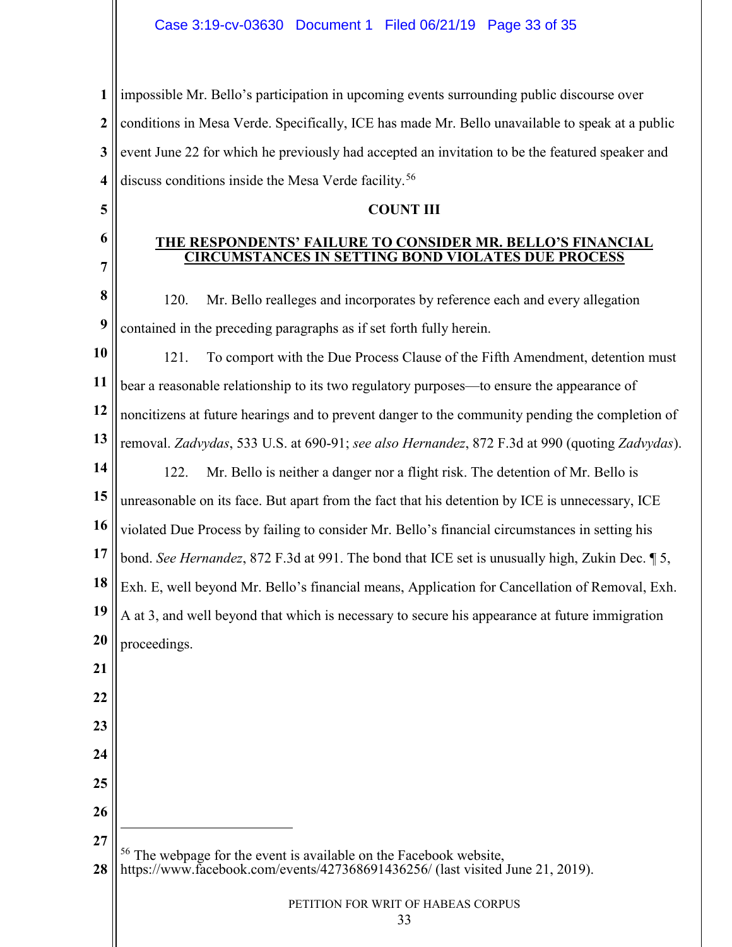**1 2 3 4** impossible Mr. Bello's participation in upcoming events surrounding public discourse over conditions in Mesa Verde. Specifically, ICE has made Mr. Bello unavailable to speak at a public event June 22 for which he previously had accepted an invitation to be the featured speaker and discuss conditions inside the Mesa Verde facility.<sup>[56](#page-32-0)</sup>

**5**

**6**

**7**

#### **COUNT III**

#### **THE RESPONDENTS' FAILURE TO CONSIDER MR. BELLO'S FINANCIAL NCES IN SETTING BOND VIOL**

**8 9** 120. Mr. Bello realleges and incorporates by reference each and every allegation contained in the preceding paragraphs as if set forth fully herein.

**10 11 12 13 14 15 16 17 18 19** 121. To comport with the Due Process Clause of the Fifth Amendment, detention must bear a reasonable relationship to its two regulatory purposes—to ensure the appearance of noncitizens at future hearings and to prevent danger to the community pending the completion of removal. *Zadvydas*, 533 U.S. at 690-91; *see also Hernandez*, 872 F.3d at 990 (quoting *Zadvydas*). 122. Mr. Bello is neither a danger nor a flight risk. The detention of Mr. Bello is unreasonable on its face. But apart from the fact that his detention by ICE is unnecessary, ICE violated Due Process by failing to consider Mr. Bello's financial circumstances in setting his bond. *See Hernandez*, 872 F.3d at 991. The bond that ICE set is unusually high, Zukin Dec. ¶ 5, Exh. E, well beyond Mr. Bello's financial means, Application for Cancellation of Removal, Exh. A at 3, and well beyond that which is necessary to secure his appearance at future immigration

- **20** proceedings.
- **21 22**
- **23 24**
- **25**
- **26 27**

 $\overline{a}$ 

<sup>56</sup> The webpage for the event is available on the Facebook website,

<span id="page-32-0"></span>**<sup>28</sup>** https://www.facebook.com/events/427368691436256/ (last visited June 21, 2019).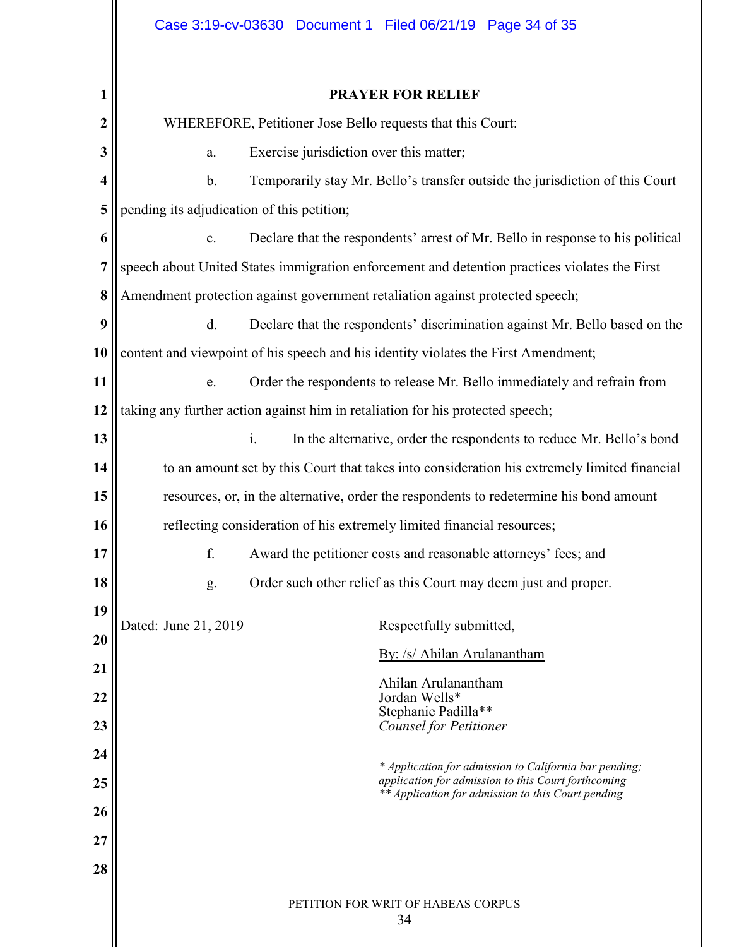|                         | Case 3:19-cv-03630 Document 1 Filed 06/21/19 Page 34 of 35                                                |  |  |
|-------------------------|-----------------------------------------------------------------------------------------------------------|--|--|
| 1                       | <b>PRAYER FOR RELIEF</b>                                                                                  |  |  |
| $\boldsymbol{2}$        | WHEREFORE, Petitioner Jose Bello requests that this Court:                                                |  |  |
| 3                       | Exercise jurisdiction over this matter;<br>a.                                                             |  |  |
| $\overline{\mathbf{4}}$ | Temporarily stay Mr. Bello's transfer outside the jurisdiction of this Court<br>b.                        |  |  |
| 5                       | pending its adjudication of this petition;                                                                |  |  |
| 6                       | Declare that the respondents' arrest of Mr. Bello in response to his political<br>c.                      |  |  |
| 7                       | speech about United States immigration enforcement and detention practices violates the First             |  |  |
| 8                       | Amendment protection against government retaliation against protected speech;                             |  |  |
| 9                       | Declare that the respondents' discrimination against Mr. Bello based on the<br>d.                         |  |  |
| 10                      | content and viewpoint of his speech and his identity violates the First Amendment;                        |  |  |
| 11                      | Order the respondents to release Mr. Bello immediately and refrain from<br>e.                             |  |  |
| 12                      | taking any further action against him in retaliation for his protected speech;                            |  |  |
| 13                      | i.<br>In the alternative, order the respondents to reduce Mr. Bello's bond                                |  |  |
| 14                      | to an amount set by this Court that takes into consideration his extremely limited financial              |  |  |
| 15                      | resources, or, in the alternative, order the respondents to redetermine his bond amount                   |  |  |
| 16                      | reflecting consideration of his extremely limited financial resources;                                    |  |  |
| 17                      | f.<br>Award the petitioner costs and reasonable attorneys' fees; and                                      |  |  |
| 18                      | Order such other relief as this Court may deem just and proper.<br>g.                                     |  |  |
| 19                      | Dated: June 21, 2019<br>Respectfully submitted,                                                           |  |  |
| 20                      | By: /s/ Ahilan Arulanantham                                                                               |  |  |
| 21                      | Ahilan Arulanantham                                                                                       |  |  |
| 22                      | Jordan Wells*<br>Stephanie Padilla**                                                                      |  |  |
| 23                      | <b>Counsel for Petitioner</b>                                                                             |  |  |
| 24                      | * Application for admission to California bar pending;                                                    |  |  |
| 25                      | application for admission to this Court forthcoming<br>** Application for admission to this Court pending |  |  |
| 26                      |                                                                                                           |  |  |
| 27                      |                                                                                                           |  |  |
| 28                      |                                                                                                           |  |  |
|                         | PETITION FOR WRIT OF HABEAS CORPUS<br>34                                                                  |  |  |
|                         |                                                                                                           |  |  |